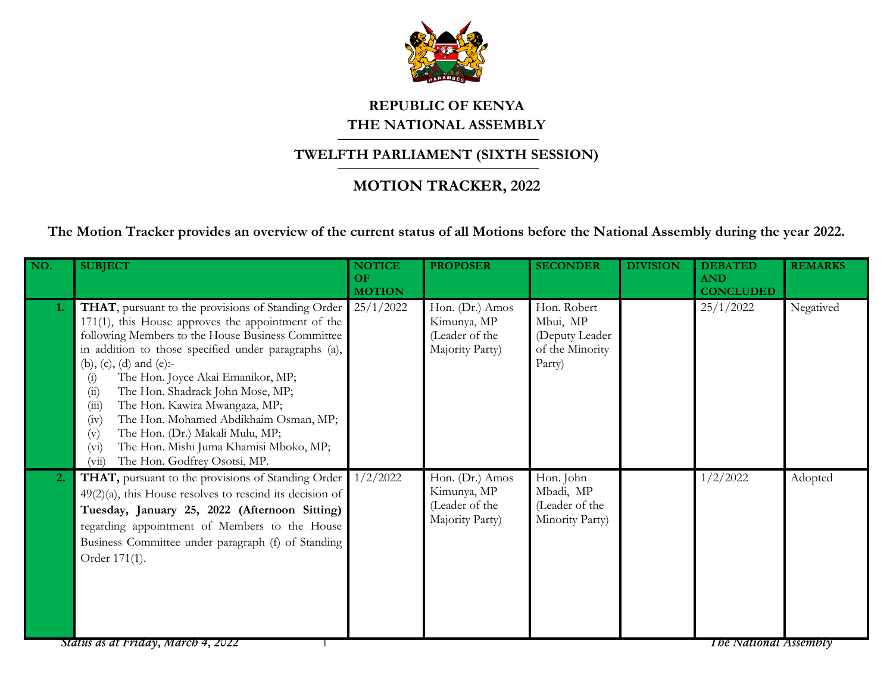

## **REPUBLIC OF KENYA THE NATIONAL ASSEMBLY**

## **TWELFTH PARLIAMENT (SIXTH SESSION)**

## **MOTION TRACKER, 2022**

**The Motion Tracker provides an overview of the current status of all Motions before the National Assembly during the year 2022.**

| NO. | <b>SUBJECT</b>                                                                                                                                                                                                                                                                                                                                                                                                                                                                                                                                                                      | <b>NOTICE</b><br>OF<br><b>MOTION</b> | <b>PROPOSER</b>                                                     | <b>SECONDER</b>                                                        | <b>DIVISION</b> | <b>DEBATED</b><br><b>AND</b><br><b>CONCLUDED</b> | <b>REMARKS</b> |
|-----|-------------------------------------------------------------------------------------------------------------------------------------------------------------------------------------------------------------------------------------------------------------------------------------------------------------------------------------------------------------------------------------------------------------------------------------------------------------------------------------------------------------------------------------------------------------------------------------|--------------------------------------|---------------------------------------------------------------------|------------------------------------------------------------------------|-----------------|--------------------------------------------------|----------------|
| 1.  | <b>THAT</b> , pursuant to the provisions of Standing Order<br>$171(1)$ , this House approves the appointment of the<br>following Members to the House Business Committee<br>in addition to those specified under paragraphs (a),<br>(b), (c), (d) and (e):-<br>The Hon. Joyce Akai Emanikor, MP;<br>(i)<br>The Hon. Shadrack John Mose, MP;<br>(ii)<br>The Hon. Kawira Mwangaza, MP;<br>(iii)<br>The Hon. Mohamed Abdikhaim Osman, MP;<br>(iv)<br>The Hon. (Dr.) Makali Mulu, MP;<br>(v)<br>The Hon. Mishi Juma Khamisi Mboko, MP;<br>(vi)<br>The Hon. Godfrey Osotsi, MP.<br>(vii) | 25/1/2022                            | Hon. (Dr.) Amos<br>Kimunya, MP<br>(Leader of the<br>Majority Party) | Hon. Robert<br>Mbui, MP<br>(Deputy Leader<br>of the Minority<br>Party) |                 | 25/1/2022                                        | Negatived      |
| 2.  | THAT, pursuant to the provisions of Standing Order<br>$49(2)(a)$ , this House resolves to rescind its decision of<br>Tuesday, January 25, 2022 (Afternoon Sitting)<br>regarding appointment of Members to the House<br>Business Committee under paragraph (f) of Standing<br>Order 171(1).                                                                                                                                                                                                                                                                                          | 1/2/2022                             | Hon. (Dr.) Amos<br>Kimunya, MP<br>(Leader of the<br>Majority Party) | Hon. John<br>Mbadi, MP<br>(Leader of the<br>Minority Party)            |                 | 1/2/2022                                         | Adopted        |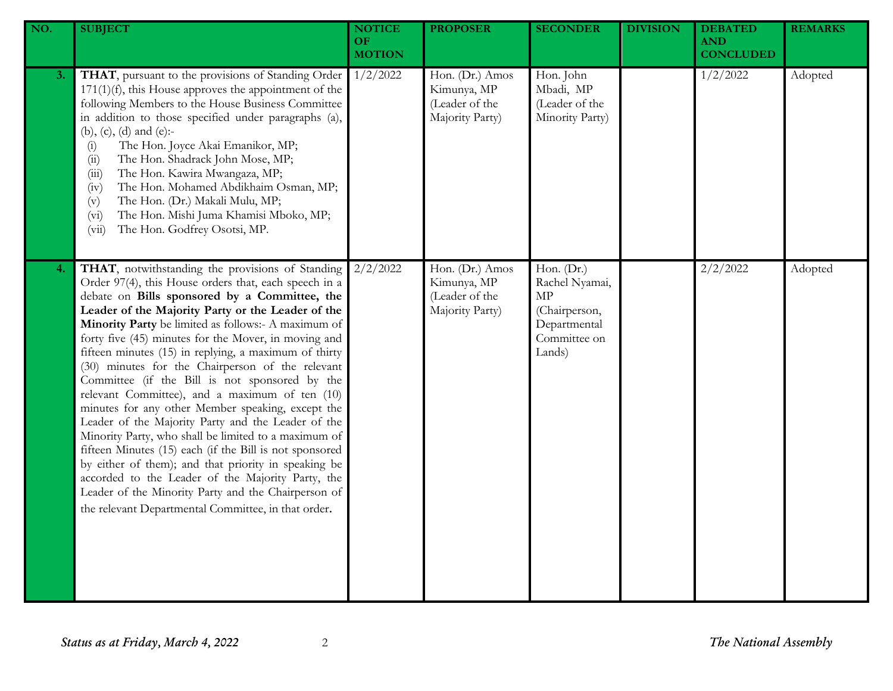| NO. | <b>SUBJECT</b>                                                                                                                                                                                                                                                                                                                                                                                                                                                                                                                                                                                                                                                                                                                                                                                                                                                                                                                                                                                           | <b>NOTICE</b><br>OF<br><b>MOTION</b> | <b>PROPOSER</b>                                                     | <b>SECONDER</b>                                                                               | <b>DIVISION</b> | <b>DEBATED</b><br><b>AND</b><br><b>CONCLUDED</b> | <b>REMARKS</b> |
|-----|----------------------------------------------------------------------------------------------------------------------------------------------------------------------------------------------------------------------------------------------------------------------------------------------------------------------------------------------------------------------------------------------------------------------------------------------------------------------------------------------------------------------------------------------------------------------------------------------------------------------------------------------------------------------------------------------------------------------------------------------------------------------------------------------------------------------------------------------------------------------------------------------------------------------------------------------------------------------------------------------------------|--------------------------------------|---------------------------------------------------------------------|-----------------------------------------------------------------------------------------------|-----------------|--------------------------------------------------|----------------|
| 3.  | THAT, pursuant to the provisions of Standing Order<br>$171(1)(f)$ , this House approves the appointment of the<br>following Members to the House Business Committee<br>in addition to those specified under paragraphs (a),<br>(b), (c), (d) and (e):-<br>The Hon. Joyce Akai Emanikor, MP;<br>(i)<br>The Hon. Shadrack John Mose, MP;<br>(ii)<br>The Hon. Kawira Mwangaza, MP;<br>(iii)<br>The Hon. Mohamed Abdikhaim Osman, MP;<br>(iv)<br>The Hon. (Dr.) Makali Mulu, MP;<br>(v)<br>The Hon. Mishi Juma Khamisi Mboko, MP;<br>(v <sub>i</sub> )<br>The Hon. Godfrey Osotsi, MP.<br>(vii)                                                                                                                                                                                                                                                                                                                                                                                                              | 1/2/2022                             | Hon. (Dr.) Amos<br>Kimunya, MP<br>(Leader of the<br>Majority Party) | Hon. John<br>Mbadi, MP<br>(Leader of the<br>Minority Party)                                   |                 | 1/2/2022                                         | Adopted        |
| 4.  | THAT, notwithstanding the provisions of Standing<br>Order 97(4), this House orders that, each speech in a<br>debate on Bills sponsored by a Committee, the<br>Leader of the Majority Party or the Leader of the<br>Minority Party be limited as follows:- A maximum of<br>forty five (45) minutes for the Mover, in moving and<br>fifteen minutes (15) in replying, a maximum of thirty<br>(30) minutes for the Chairperson of the relevant<br>Committee (if the Bill is not sponsored by the<br>relevant Committee), and a maximum of ten (10)<br>minutes for any other Member speaking, except the<br>Leader of the Majority Party and the Leader of the<br>Minority Party, who shall be limited to a maximum of<br>fifteen Minutes (15) each (if the Bill is not sponsored<br>by either of them); and that priority in speaking be<br>accorded to the Leader of the Majority Party, the<br>Leader of the Minority Party and the Chairperson of<br>the relevant Departmental Committee, in that order. | 2/2/2022                             | Hon. (Dr.) Amos<br>Kimunya, MP<br>(Leader of the<br>Majority Party) | Hon. (Dr.)<br>Rachel Nyamai,<br>MP<br>(Chairperson,<br>Departmental<br>Committee on<br>Lands) |                 | 2/2/2022                                         | Adopted        |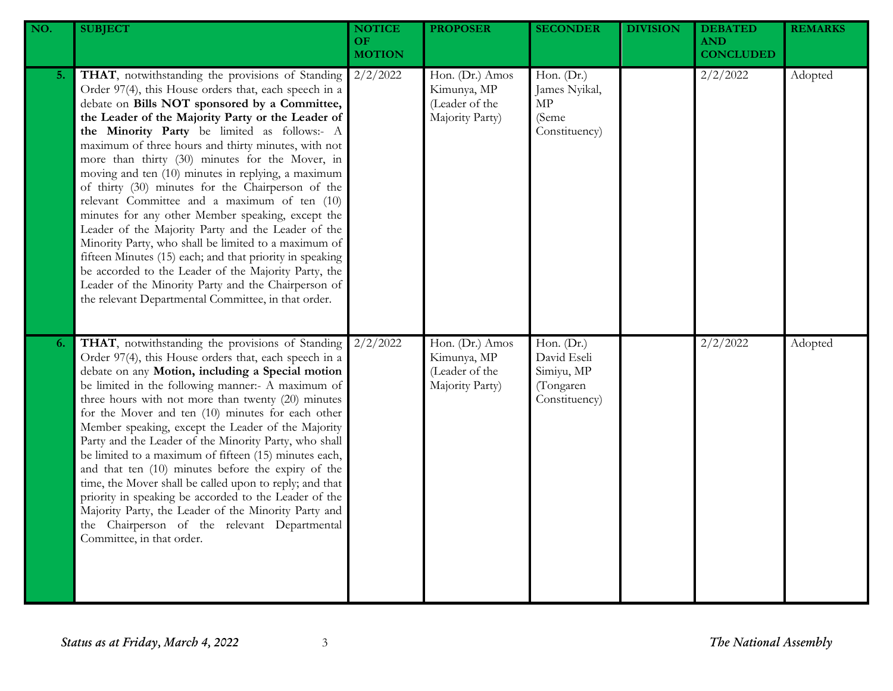| NO. | <b>SUBJECT</b>                                                                                                                                                                                                                                                                                                                                                                                                                                                                                                                                                                                                                                                                                                                                                                                                                                                                                                                            | <b>NOTICE</b><br>OF<br><b>MOTION</b> | <b>PROPOSER</b>                                                     | <b>SECONDER</b>                                                       | <b>DIVISION</b> | <b>DEBATED</b><br><b>AND</b><br><b>CONCLUDED</b> | <b>REMARKS</b> |
|-----|-------------------------------------------------------------------------------------------------------------------------------------------------------------------------------------------------------------------------------------------------------------------------------------------------------------------------------------------------------------------------------------------------------------------------------------------------------------------------------------------------------------------------------------------------------------------------------------------------------------------------------------------------------------------------------------------------------------------------------------------------------------------------------------------------------------------------------------------------------------------------------------------------------------------------------------------|--------------------------------------|---------------------------------------------------------------------|-----------------------------------------------------------------------|-----------------|--------------------------------------------------|----------------|
| 5.  | THAT, notwithstanding the provisions of Standing<br>Order 97(4), this House orders that, each speech in a<br>debate on Bills NOT sponsored by a Committee,<br>the Leader of the Majority Party or the Leader of<br>the Minority Party be limited as follows:- A<br>maximum of three hours and thirty minutes, with not<br>more than thirty (30) minutes for the Mover, in<br>moving and ten (10) minutes in replying, a maximum<br>of thirty (30) minutes for the Chairperson of the<br>relevant Committee and a maximum of ten (10)<br>minutes for any other Member speaking, except the<br>Leader of the Majority Party and the Leader of the<br>Minority Party, who shall be limited to a maximum of<br>fifteen Minutes (15) each; and that priority in speaking<br>be accorded to the Leader of the Majority Party, the<br>Leader of the Minority Party and the Chairperson of<br>the relevant Departmental Committee, in that order. | 2/2/2022                             | Hon. (Dr.) Amos<br>Kimunya, MP<br>(Leader of the<br>Majority Party) | Hon. (Dr.)<br>James Nyikal,<br>MP<br>(Seme<br>Constituency)           |                 | 2/2/2022                                         | Adopted        |
| 6.  | THAT, notwithstanding the provisions of Standing<br>Order 97(4), this House orders that, each speech in a<br>debate on any Motion, including a Special motion<br>be limited in the following manner:- A maximum of<br>three hours with not more than twenty (20) minutes<br>for the Mover and ten (10) minutes for each other<br>Member speaking, except the Leader of the Majority<br>Party and the Leader of the Minority Party, who shall<br>be limited to a maximum of fifteen (15) minutes each,<br>and that ten (10) minutes before the expiry of the<br>time, the Mover shall be called upon to reply; and that<br>priority in speaking be accorded to the Leader of the<br>Majority Party, the Leader of the Minority Party and<br>the Chairperson of the relevant Departmental<br>Committee, in that order.                                                                                                                      | 2/2/2022                             | Hon. (Dr.) Amos<br>Kimunya, MP<br>(Leader of the<br>Majority Party) | Hon. (Dr.)<br>David Eseli<br>Simiyu, MP<br>(Tongaren<br>Constituency) |                 | 2/2/2022                                         | Adopted        |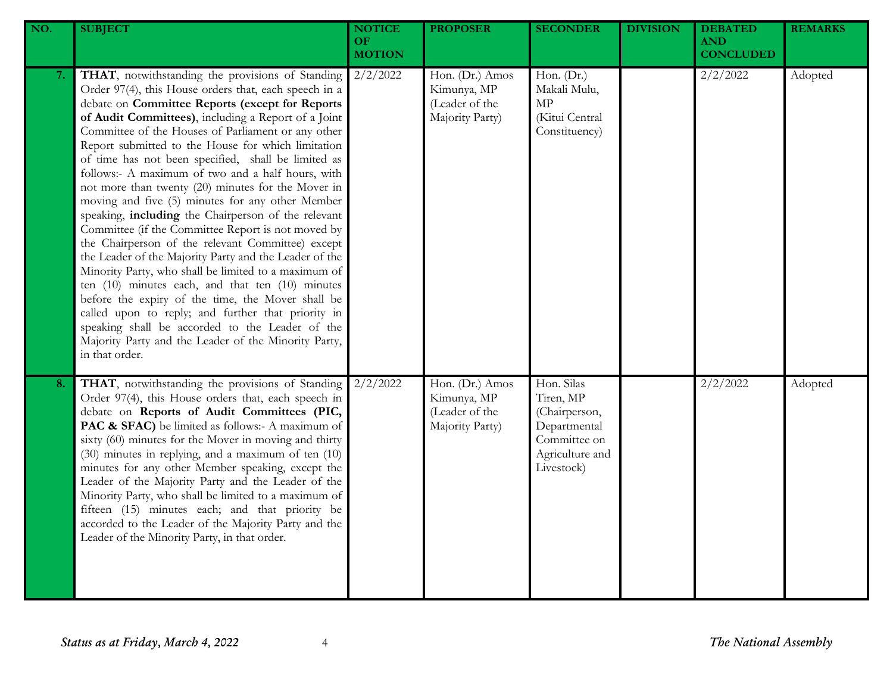| NO. | <b>SUBJECT</b>                                                                                                                                                                                                                                                                                                                                                                                                                                                                                                                                                                                                                                                                                                                                                                                                                                                                                                                                                                                                                                                                                                                            | <b>NOTICE</b><br>OF.<br><b>MOTION</b> | <b>PROPOSER</b>                                                     | <b>SECONDER</b>                                                                                           | <b>DIVISION</b> | <b>DEBATED</b><br><b>AND</b><br><b>CONCLUDED</b> | <b>REMARKS</b> |
|-----|-------------------------------------------------------------------------------------------------------------------------------------------------------------------------------------------------------------------------------------------------------------------------------------------------------------------------------------------------------------------------------------------------------------------------------------------------------------------------------------------------------------------------------------------------------------------------------------------------------------------------------------------------------------------------------------------------------------------------------------------------------------------------------------------------------------------------------------------------------------------------------------------------------------------------------------------------------------------------------------------------------------------------------------------------------------------------------------------------------------------------------------------|---------------------------------------|---------------------------------------------------------------------|-----------------------------------------------------------------------------------------------------------|-----------------|--------------------------------------------------|----------------|
| 7.  | THAT, notwithstanding the provisions of Standing<br>Order 97(4), this House orders that, each speech in a<br>debate on Committee Reports (except for Reports<br>of Audit Committees), including a Report of a Joint<br>Committee of the Houses of Parliament or any other<br>Report submitted to the House for which limitation<br>of time has not been specified, shall be limited as<br>follows:- A maximum of two and a half hours, with<br>not more than twenty (20) minutes for the Mover in<br>moving and five (5) minutes for any other Member<br>speaking, including the Chairperson of the relevant<br>Committee (if the Committee Report is not moved by<br>the Chairperson of the relevant Committee) except<br>the Leader of the Majority Party and the Leader of the<br>Minority Party, who shall be limited to a maximum of<br>ten $(10)$ minutes each, and that ten $(10)$ minutes<br>before the expiry of the time, the Mover shall be<br>called upon to reply; and further that priority in<br>speaking shall be accorded to the Leader of the<br>Majority Party and the Leader of the Minority Party,<br>in that order. | $2/2/\overline{2022}$                 | Hon. (Dr.) Amos<br>Kimunya, MP<br>(Leader of the<br>Majority Party) | Hon. (Dr.)<br>Makali Mulu,<br>$\ensuremath{\mathrm{MP}}$<br>(Kitui Central<br>Constituency)               |                 | 2/2/2022                                         | Adopted        |
| 8.  | THAT, notwithstanding the provisions of Standing<br>Order 97(4), this House orders that, each speech in<br>debate on Reports of Audit Committees (PIC,<br>PAC & SFAC) be limited as follows:- A maximum of<br>sixty (60) minutes for the Mover in moving and thirty<br>(30) minutes in replying, and a maximum of ten (10)<br>minutes for any other Member speaking, except the<br>Leader of the Majority Party and the Leader of the<br>Minority Party, who shall be limited to a maximum of<br>fifteen (15) minutes each; and that priority be<br>accorded to the Leader of the Majority Party and the<br>Leader of the Minority Party, in that order.                                                                                                                                                                                                                                                                                                                                                                                                                                                                                  | 2/2/2022                              | Hon. (Dr.) Amos<br>Kimunya, MP<br>(Leader of the<br>Majority Party) | Hon. Silas<br>Tiren, MP<br>(Chairperson,<br>Departmental<br>Committee on<br>Agriculture and<br>Livestock) |                 | 2/2/2022                                         | Adopted        |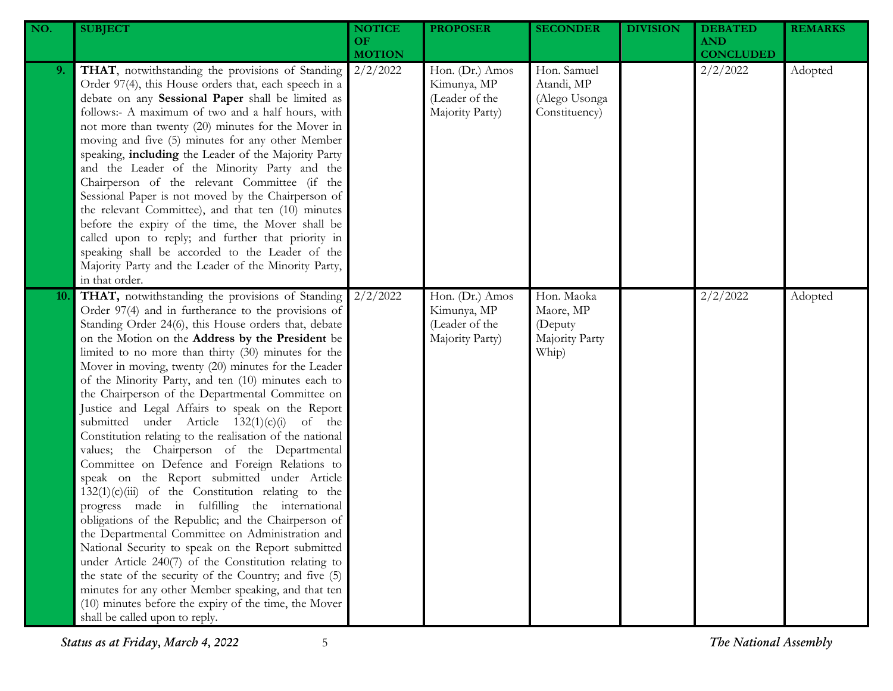| NO. | <b>SUBJECT</b>                                                                                                                                                                                                                                                                                                                                                                                                                                                                                                                                                                                                                                                                                                                                                                                                                                                                                                                                                                                                                                                                                                                                                                                                                                                                                             | <b>NOTICE</b><br>OF<br><b>MOTION</b> | <b>PROPOSER</b>                                                     | <b>SECONDER</b>                                               | <b>DIVISION</b> | <b>DEBATED</b><br><b>AND</b><br><b>CONCLUDED</b> | <b>REMARKS</b> |
|-----|------------------------------------------------------------------------------------------------------------------------------------------------------------------------------------------------------------------------------------------------------------------------------------------------------------------------------------------------------------------------------------------------------------------------------------------------------------------------------------------------------------------------------------------------------------------------------------------------------------------------------------------------------------------------------------------------------------------------------------------------------------------------------------------------------------------------------------------------------------------------------------------------------------------------------------------------------------------------------------------------------------------------------------------------------------------------------------------------------------------------------------------------------------------------------------------------------------------------------------------------------------------------------------------------------------|--------------------------------------|---------------------------------------------------------------------|---------------------------------------------------------------|-----------------|--------------------------------------------------|----------------|
| 9.  | THAT, notwithstanding the provisions of Standing<br>Order 97(4), this House orders that, each speech in a<br>debate on any Sessional Paper shall be limited as<br>follows:- A maximum of two and a half hours, with<br>not more than twenty (20) minutes for the Mover in<br>moving and five (5) minutes for any other Member<br>speaking, including the Leader of the Majority Party<br>and the Leader of the Minority Party and the<br>Chairperson of the relevant Committee (if the<br>Sessional Paper is not moved by the Chairperson of<br>the relevant Committee), and that ten (10) minutes<br>before the expiry of the time, the Mover shall be<br>called upon to reply; and further that priority in<br>speaking shall be accorded to the Leader of the<br>Majority Party and the Leader of the Minority Party,<br>in that order.                                                                                                                                                                                                                                                                                                                                                                                                                                                                 | 2/2/2022                             | Hon. (Dr.) Amos<br>Kimunya, MP<br>(Leader of the<br>Majority Party) | Hon. Samuel<br>Atandi, MP<br>(Alego Usonga<br>Constituency)   |                 | 2/2/2022                                         | Adopted        |
| 10. | THAT, notwithstanding the provisions of Standing<br>Order 97(4) and in furtherance to the provisions of<br>Standing Order 24(6), this House orders that, debate<br>on the Motion on the Address by the President be<br>limited to no more than thirty (30) minutes for the<br>Mover in moving, twenty (20) minutes for the Leader<br>of the Minority Party, and ten (10) minutes each to<br>the Chairperson of the Departmental Committee on<br>Justice and Legal Affairs to speak on the Report<br>submitted under Article $132(1)(c)(i)$ of the<br>Constitution relating to the realisation of the national<br>values; the Chairperson of the Departmental<br>Committee on Defence and Foreign Relations to<br>speak on the Report submitted under Article<br>$132(1)(c)(iii)$ of the Constitution relating to the<br>progress made in fulfilling the international<br>obligations of the Republic; and the Chairperson of<br>the Departmental Committee on Administration and<br>National Security to speak on the Report submitted<br>under Article 240(7) of the Constitution relating to<br>the state of the security of the Country; and five (5)<br>minutes for any other Member speaking, and that ten<br>(10) minutes before the expiry of the time, the Mover<br>shall be called upon to reply. | 2/2/2022                             | Hon. (Dr.) Amos<br>Kimunya, MP<br>(Leader of the<br>Majority Party) | Hon. Maoka<br>Maore, MP<br>(Deputy<br>Majority Party<br>Whip) |                 | 2/2/2022                                         | Adopted        |

*Status as at Friday, March 4, 2022* 5 *The National Assembly*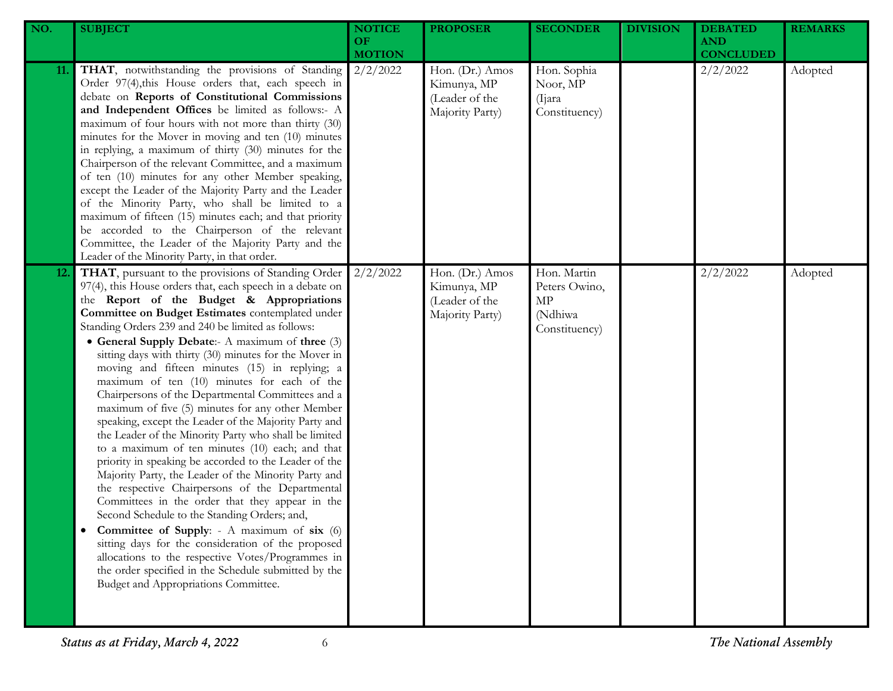| NO.        | <b>SUBJECT</b>                                                                                                                                                                                                                                                                                                                                                                                                                                                                                                                                                                                                                                                                                                                                                                                                                                                                                                                                                                                                                                                                                                                                                                                                                                                                                       | <b>NOTICE</b><br>OF.<br><b>MOTION</b> | <b>PROPOSER</b>                                                     | <b>SECONDER</b>                                                | <b>DIVISION</b> | <b>DEBATED</b><br><b>AND</b><br><b>CONCLUDED</b> | <b>REMARKS</b> |
|------------|------------------------------------------------------------------------------------------------------------------------------------------------------------------------------------------------------------------------------------------------------------------------------------------------------------------------------------------------------------------------------------------------------------------------------------------------------------------------------------------------------------------------------------------------------------------------------------------------------------------------------------------------------------------------------------------------------------------------------------------------------------------------------------------------------------------------------------------------------------------------------------------------------------------------------------------------------------------------------------------------------------------------------------------------------------------------------------------------------------------------------------------------------------------------------------------------------------------------------------------------------------------------------------------------------|---------------------------------------|---------------------------------------------------------------------|----------------------------------------------------------------|-----------------|--------------------------------------------------|----------------|
| 11.        | THAT, notwithstanding the provisions of Standing<br>Order 97(4), this House orders that, each speech in<br>debate on Reports of Constitutional Commissions<br>and Independent Offices be limited as follows:- A<br>maximum of four hours with not more than thirty (30)<br>minutes for the Mover in moving and ten (10) minutes<br>in replying, a maximum of thirty (30) minutes for the<br>Chairperson of the relevant Committee, and a maximum<br>of ten (10) minutes for any other Member speaking,<br>except the Leader of the Majority Party and the Leader<br>of the Minority Party, who shall be limited to a<br>maximum of fifteen (15) minutes each; and that priority<br>be accorded to the Chairperson of the relevant<br>Committee, the Leader of the Majority Party and the<br>Leader of the Minority Party, in that order.                                                                                                                                                                                                                                                                                                                                                                                                                                                             | 2/2/2022                              | Hon. (Dr.) Amos<br>Kimunya, MP<br>(Leader of the<br>Majority Party) | Hon. Sophia<br>Noor, MP<br>(Ijara)<br>Constituency)            |                 | 2/2/2022                                         | Adopted        |
| <b>12.</b> | THAT, pursuant to the provisions of Standing Order<br>97(4), this House orders that, each speech in a debate on<br>the Report of the Budget & Appropriations<br>Committee on Budget Estimates contemplated under<br>Standing Orders 239 and 240 be limited as follows:<br>• General Supply Debate:- A maximum of three (3)<br>sitting days with thirty (30) minutes for the Mover in<br>moving and fifteen minutes (15) in replying; a<br>maximum of ten (10) minutes for each of the<br>Chairpersons of the Departmental Committees and a<br>maximum of five (5) minutes for any other Member<br>speaking, except the Leader of the Majority Party and<br>the Leader of the Minority Party who shall be limited<br>to a maximum of ten minutes (10) each; and that<br>priority in speaking be accorded to the Leader of the<br>Majority Party, the Leader of the Minority Party and<br>the respective Chairpersons of the Departmental<br>Committees in the order that they appear in the<br>Second Schedule to the Standing Orders; and,<br>Committee of Supply: - A maximum of six (6)<br>sitting days for the consideration of the proposed<br>allocations to the respective Votes/Programmes in<br>the order specified in the Schedule submitted by the<br>Budget and Appropriations Committee. | 2/2/2022                              | Hon. (Dr.) Amos<br>Kimunya, MP<br>(Leader of the<br>Majority Party) | Hon. Martin<br>Peters Owino,<br>MP<br>(Ndhiwa<br>Constituency) |                 | 2/2/2022                                         | Adopted        |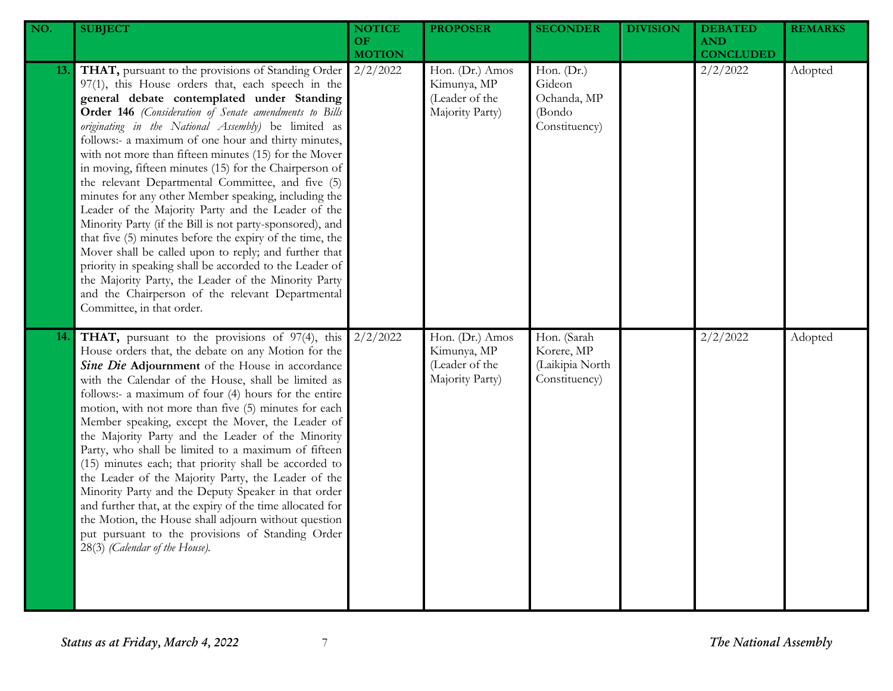| NO. | <b>SUBJECT</b>                                                                                                                                                                                                                                                                                                                                                                                                                                                                                                                                                                                                                                                                                                                                                                                                                                                                                                                                                                                           | <b>NOTICE</b><br><b>OF</b><br><b>MOTION</b> | <b>PROPOSER</b>                                                     | <b>SECONDER</b>                                                | <b>DIVISION</b> | <b>DEBATED</b><br><b>AND</b><br><b>CONCLUDED</b> | <b>REMARKS</b> |
|-----|----------------------------------------------------------------------------------------------------------------------------------------------------------------------------------------------------------------------------------------------------------------------------------------------------------------------------------------------------------------------------------------------------------------------------------------------------------------------------------------------------------------------------------------------------------------------------------------------------------------------------------------------------------------------------------------------------------------------------------------------------------------------------------------------------------------------------------------------------------------------------------------------------------------------------------------------------------------------------------------------------------|---------------------------------------------|---------------------------------------------------------------------|----------------------------------------------------------------|-----------------|--------------------------------------------------|----------------|
| 13. | THAT, pursuant to the provisions of Standing Order<br>97(1), this House orders that, each speech in the<br>general debate contemplated under Standing<br>Order 146 (Consideration of Senate amendments to Bills<br>originating in the National Assembly) be limited as<br>follows:- a maximum of one hour and thirty minutes,<br>with not more than fifteen minutes (15) for the Mover<br>in moving, fifteen minutes (15) for the Chairperson of<br>the relevant Departmental Committee, and five (5)<br>minutes for any other Member speaking, including the<br>Leader of the Majority Party and the Leader of the<br>Minority Party (if the Bill is not party-sponsored), and<br>that five (5) minutes before the expiry of the time, the<br>Mover shall be called upon to reply; and further that<br>priority in speaking shall be accorded to the Leader of<br>the Majority Party, the Leader of the Minority Party<br>and the Chairperson of the relevant Departmental<br>Committee, in that order. | 2/2/2022                                    | Hon. (Dr.) Amos<br>Kimunya, MP<br>(Leader of the<br>Majority Party) | Hon. (Dr.)<br>Gideon<br>Ochanda, MP<br>(Bondo<br>Constituency) |                 | 2/2/2022                                         | Adopted        |
| 14. | <b>THAT</b> , pursuant to the provisions of 97(4), this<br>House orders that, the debate on any Motion for the<br>Sine Die Adjournment of the House in accordance<br>with the Calendar of the House, shall be limited as<br>follows:- a maximum of four (4) hours for the entire<br>motion, with not more than five (5) minutes for each<br>Member speaking, except the Mover, the Leader of<br>the Majority Party and the Leader of the Minority<br>Party, who shall be limited to a maximum of fifteen<br>(15) minutes each; that priority shall be accorded to<br>the Leader of the Majority Party, the Leader of the<br>Minority Party and the Deputy Speaker in that order<br>and further that, at the expiry of the time allocated for<br>the Motion, the House shall adjourn without question<br>put pursuant to the provisions of Standing Order<br>28(3) (Calendar of the House).                                                                                                               | 2/2/2022                                    | Hon. (Dr.) Amos<br>Kimunya, MP<br>(Leader of the<br>Majority Party) | Hon. (Sarah<br>Korere, MP<br>(Laikipia North<br>Constituency)  |                 | 2/2/2022                                         | Adopted        |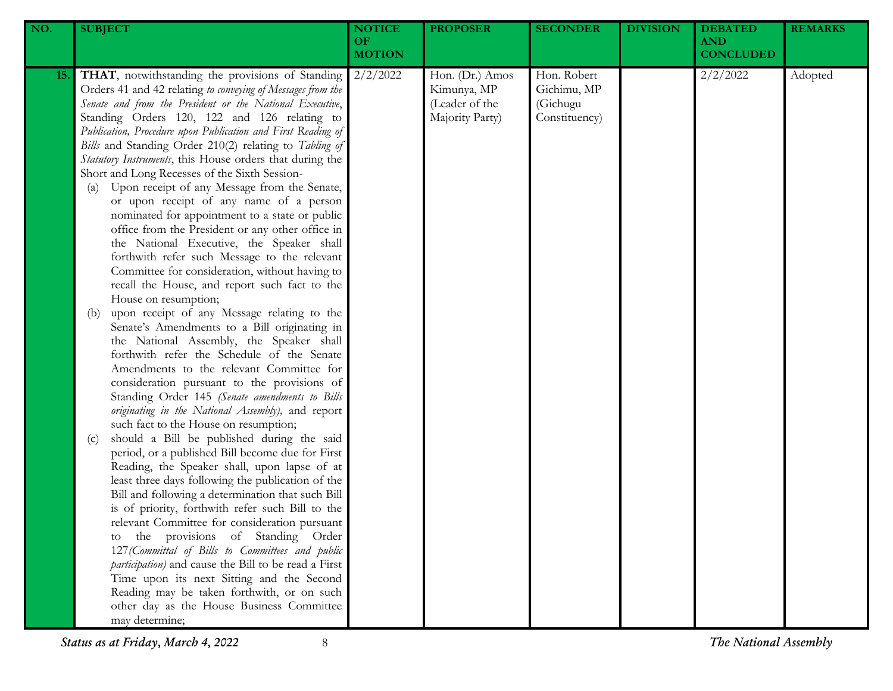| NO.        | <b>SUBJECT</b>                                                                                                                                                                                                                                                                                                                                                                                                                                                                                                                                                                                                                                                                                                                                                                                                                                                                                                                                                                                                                                                                                                                                                                                                                                                                                                                                                                                                                                                                                                                                                                                                                                                                                                                                                                                                                                                                                                                                                                                                                        | <b>NOTICE</b><br>OF<br><b>MOTION</b> | <b>PROPOSER</b>                                                     | <b>SECONDER</b>                                         | <b>DIVISION</b> | <b>DEBATED</b><br><b>AND</b><br><b>CONCLUDED</b> | <b>REMARKS</b> |
|------------|---------------------------------------------------------------------------------------------------------------------------------------------------------------------------------------------------------------------------------------------------------------------------------------------------------------------------------------------------------------------------------------------------------------------------------------------------------------------------------------------------------------------------------------------------------------------------------------------------------------------------------------------------------------------------------------------------------------------------------------------------------------------------------------------------------------------------------------------------------------------------------------------------------------------------------------------------------------------------------------------------------------------------------------------------------------------------------------------------------------------------------------------------------------------------------------------------------------------------------------------------------------------------------------------------------------------------------------------------------------------------------------------------------------------------------------------------------------------------------------------------------------------------------------------------------------------------------------------------------------------------------------------------------------------------------------------------------------------------------------------------------------------------------------------------------------------------------------------------------------------------------------------------------------------------------------------------------------------------------------------------------------------------------------|--------------------------------------|---------------------------------------------------------------------|---------------------------------------------------------|-----------------|--------------------------------------------------|----------------|
| <b>15.</b> | THAT, notwithstanding the provisions of Standing<br>Orders 41 and 42 relating to conveying of Messages from the<br>Senate and from the President or the National Executive,<br>Standing Orders 120, 122 and 126 relating to<br>Publication, Procedure upon Publication and First Reading of<br>Bills and Standing Order 210(2) relating to Tabling of<br>Statutory Instruments, this House orders that during the<br>Short and Long Recesses of the Sixth Session-<br>Upon receipt of any Message from the Senate,<br>(a)<br>or upon receipt of any name of a person<br>nominated for appointment to a state or public<br>office from the President or any other office in<br>the National Executive, the Speaker shall<br>forthwith refer such Message to the relevant<br>Committee for consideration, without having to<br>recall the House, and report such fact to the<br>House on resumption;<br>upon receipt of any Message relating to the<br>(b)<br>Senate's Amendments to a Bill originating in<br>the National Assembly, the Speaker shall<br>forthwith refer the Schedule of the Senate<br>Amendments to the relevant Committee for<br>consideration pursuant to the provisions of<br>Standing Order 145 (Senate amendments to Bills<br>originating in the National Assembly), and report<br>such fact to the House on resumption;<br>should a Bill be published during the said<br>(c)<br>period, or a published Bill become due for First<br>Reading, the Speaker shall, upon lapse of at<br>least three days following the publication of the<br>Bill and following a determination that such Bill<br>is of priority, forthwith refer such Bill to the<br>relevant Committee for consideration pursuant<br>the provisions of Standing Order<br>to<br>127 (Committal of Bills to Committees and public<br>participation) and cause the Bill to be read a First<br>Time upon its next Sitting and the Second<br>Reading may be taken forthwith, or on such<br>other day as the House Business Committee<br>may determine; | 2/2/2022                             | Hon. (Dr.) Amos<br>Kimunya, MP<br>(Leader of the<br>Majority Party) | Hon. Robert<br>Gichimu, MP<br>(Gichugu<br>Constituency) |                 | 2/2/2022                                         | Adopted        |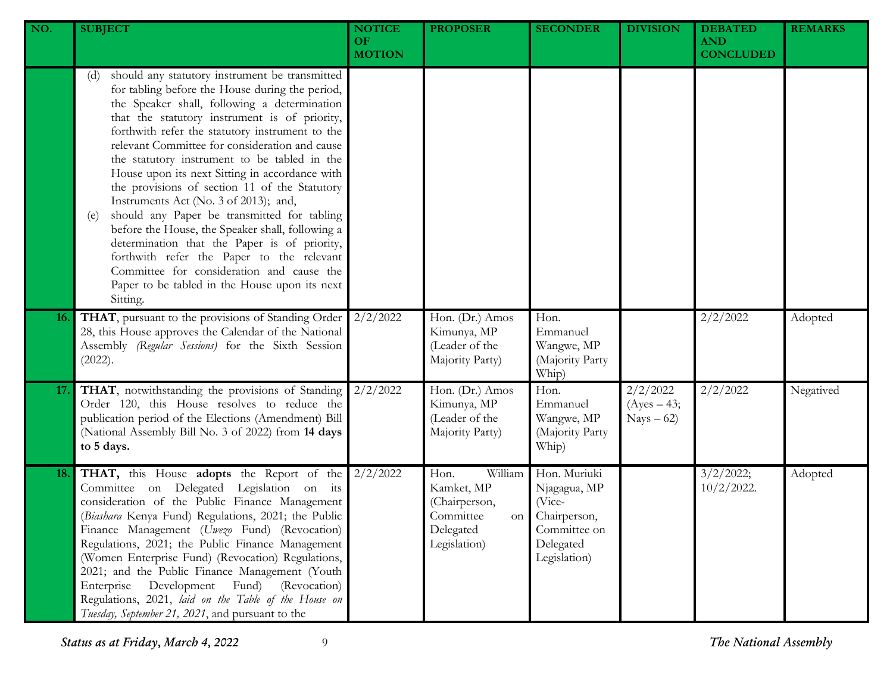| NO.        | <b>SUBJECT</b>                                                                                                                                                                                                                                                                                                                                                                                                                                                                                                                                                                                                                                                                                                                                                                                                              | <b>NOTICE</b><br><b>OF</b><br><b>MOTION</b> | <b>PROPOSER</b>                                                                                | <b>SECONDER</b>                                                                                     | <b>DIVISION</b>                          | <b>DEBATED</b><br><b>AND</b><br><b>CONCLUDED</b> | <b>REMARKS</b> |
|------------|-----------------------------------------------------------------------------------------------------------------------------------------------------------------------------------------------------------------------------------------------------------------------------------------------------------------------------------------------------------------------------------------------------------------------------------------------------------------------------------------------------------------------------------------------------------------------------------------------------------------------------------------------------------------------------------------------------------------------------------------------------------------------------------------------------------------------------|---------------------------------------------|------------------------------------------------------------------------------------------------|-----------------------------------------------------------------------------------------------------|------------------------------------------|--------------------------------------------------|----------------|
|            | should any statutory instrument be transmitted<br>(d)<br>for tabling before the House during the period,<br>the Speaker shall, following a determination<br>that the statutory instrument is of priority,<br>forthwith refer the statutory instrument to the<br>relevant Committee for consideration and cause<br>the statutory instrument to be tabled in the<br>House upon its next Sitting in accordance with<br>the provisions of section 11 of the Statutory<br>Instruments Act (No. 3 of 2013); and,<br>should any Paper be transmitted for tabling<br>(e)<br>before the House, the Speaker shall, following a<br>determination that the Paper is of priority,<br>forthwith refer the Paper to the relevant<br>Committee for consideration and cause the<br>Paper to be tabled in the House upon its next<br>Sitting. |                                             |                                                                                                |                                                                                                     |                                          |                                                  |                |
| <b>16.</b> | THAT, pursuant to the provisions of Standing Order<br>28, this House approves the Calendar of the National<br>Assembly (Regular Sessions) for the Sixth Session<br>(2022).                                                                                                                                                                                                                                                                                                                                                                                                                                                                                                                                                                                                                                                  | 2/2/2022                                    | Hon. (Dr.) Amos<br>Kimunya, MP<br>(Leader of the<br>Majority Party)                            | Hon.<br>Emmanuel<br>Wangwe, MP<br>(Majority Party<br>Whip)                                          |                                          | 2/2/2022                                         | Adopted        |
| 17.        | THAT, notwithstanding the provisions of Standing<br>Order 120, this House resolves to reduce the<br>publication period of the Elections (Amendment) Bill<br>(National Assembly Bill No. 3 of 2022) from 14 days<br>to 5 days.                                                                                                                                                                                                                                                                                                                                                                                                                                                                                                                                                                                               | 2/2/2022                                    | Hon. (Dr.) Amos<br>Kimunya, MP<br>(Leader of the<br>Majority Party)                            | Hon.<br>Emmanuel<br>Wangwe, MP<br>(Majority Party<br>Whip)                                          | 2/2/2022<br>$(Ayes - 43;$<br>$Nays - 62$ | 2/2/2022                                         | Negatived      |
| 18.        | THAT, this House adopts the Report of the<br>Committee on Delegated Legislation on its<br>consideration of the Public Finance Management<br>(Biashara Kenya Fund) Regulations, 2021; the Public<br>Finance Management (Uwezo Fund) (Revocation)<br>Regulations, 2021; the Public Finance Management<br>(Women Enterprise Fund) (Revocation) Regulations,<br>2021; and the Public Finance Management (Youth<br>(Revocation)<br>Enterprise<br>Development<br>Fund)<br>Regulations, 2021, laid on the Table of the House on<br>Tuesday, September 21, 2021, and pursuant to the                                                                                                                                                                                                                                                | 2/2/2022                                    | Hon.<br>William<br>Kamket, MP<br>(Chairperson,<br>Committee<br>on<br>Delegated<br>Legislation) | Hon. Muriuki<br>Njagagua, MP<br>(Vice-<br>Chairperson,<br>Committee on<br>Delegated<br>Legislation) |                                          | 3/2/2022;<br>$10/2/2022$ .                       | Adopted        |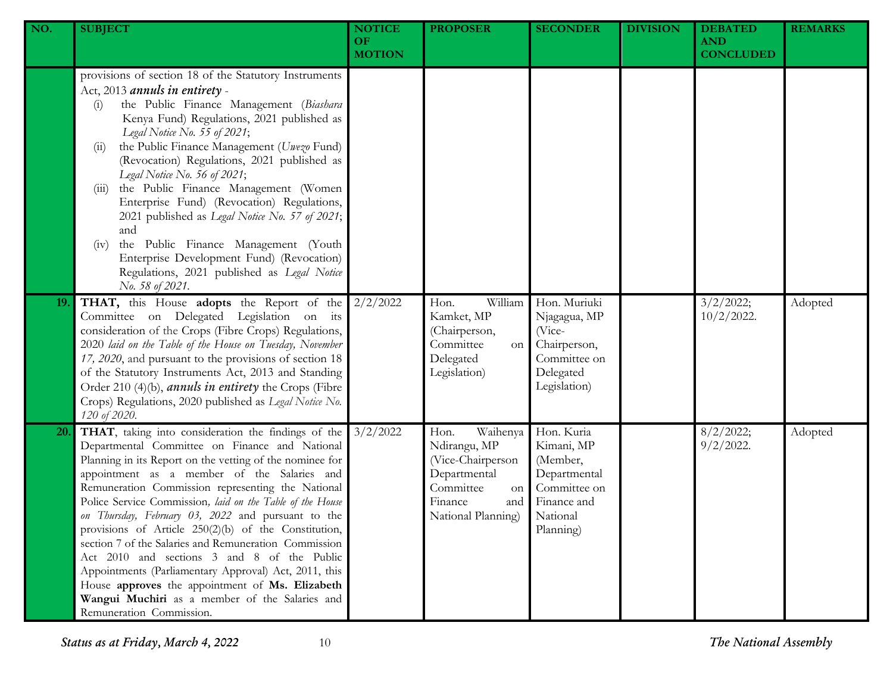| NO. | <b>SUBJECT</b>                                                                                                                                                                                                                                                                                                                                                                                                                                                                                                                                                                                                                                                                                                                                     | <b>NOTICE</b><br><b>OF</b><br><b>MOTION</b> | <b>PROPOSER</b>                                                                                                                  | <b>SECONDER</b>                                                                                              | <b>DIVISION</b> | <b>DEBATED</b><br><b>AND</b><br><b>CONCLUDED</b> | <b>REMARKS</b> |
|-----|----------------------------------------------------------------------------------------------------------------------------------------------------------------------------------------------------------------------------------------------------------------------------------------------------------------------------------------------------------------------------------------------------------------------------------------------------------------------------------------------------------------------------------------------------------------------------------------------------------------------------------------------------------------------------------------------------------------------------------------------------|---------------------------------------------|----------------------------------------------------------------------------------------------------------------------------------|--------------------------------------------------------------------------------------------------------------|-----------------|--------------------------------------------------|----------------|
|     | provisions of section 18 of the Statutory Instruments<br>Act, 2013 annuls in entirety -<br>the Public Finance Management (Biashara<br>(i)<br>Kenya Fund) Regulations, 2021 published as<br>Legal Notice No. 55 of 2021;<br>the Public Finance Management (Uwezo Fund)<br>(11)<br>(Revocation) Regulations, 2021 published as<br>Legal Notice No. 56 of 2021;<br>the Public Finance Management (Women<br>(111)<br>Enterprise Fund) (Revocation) Regulations,<br>2021 published as Legal Notice No. 57 of 2021;<br>and<br>the Public Finance Management (Youth<br>(iv)<br>Enterprise Development Fund) (Revocation)<br>Regulations, 2021 published as Legal Notice<br>No. 58 of 2021.                                                                |                                             |                                                                                                                                  |                                                                                                              |                 |                                                  |                |
| 19. | THAT, this House adopts the Report of the<br>Committee on Delegated Legislation on its<br>consideration of the Crops (Fibre Crops) Regulations,<br>2020 laid on the Table of the House on Tuesday, November<br>17, 2020, and pursuant to the provisions of section 18<br>of the Statutory Instruments Act, 2013 and Standing<br>Order 210 (4)(b), <i>annuls in entirety</i> the Crops (Fibre<br>Crops) Regulations, 2020 published as Legal Notice No.<br>120 of 2020.                                                                                                                                                                                                                                                                             | 2/2/2022                                    | William<br>Hon.<br>Kamket, MP<br>(Chairperson,<br>Committee<br>on<br>Delegated<br>Legislation)                                   | Hon. Muriuki<br>Njagagua, MP<br>(Vice-<br>Chairperson,<br>Committee on<br>Delegated<br>Legislation)          |                 | 3/2/2022;<br>$10/2/2022$ .                       | Adopted        |
| 20. | THAT, taking into consideration the findings of the<br>Departmental Committee on Finance and National<br>Planning in its Report on the vetting of the nominee for<br>appointment as a member of the Salaries and<br>Remuneration Commission representing the National<br>Police Service Commission, laid on the Table of the House<br>on Thursday, February 03, 2022 and pursuant to the<br>provisions of Article 250(2)(b) of the Constitution,<br>section 7 of the Salaries and Remuneration Commission<br>Act 2010 and sections 3 and 8 of the Public<br>Appointments (Parliamentary Approval) Act, 2011, this<br>House approves the appointment of Ms. Elizabeth<br>Wangui Muchiri as a member of the Salaries and<br>Remuneration Commission. | 3/2/2022                                    | Waihenya<br>Hon.<br>Ndirangu, MP<br>(Vice-Chairperson<br>Departmental<br>Committee<br>on<br>Finance<br>and<br>National Planning) | Hon. Kuria<br>Kimani, MP<br>(Member,<br>Departmental<br>Committee on<br>Finance and<br>National<br>Planning) |                 | 8/2/2022;<br>$9/2/2022$ .                        | Adopted        |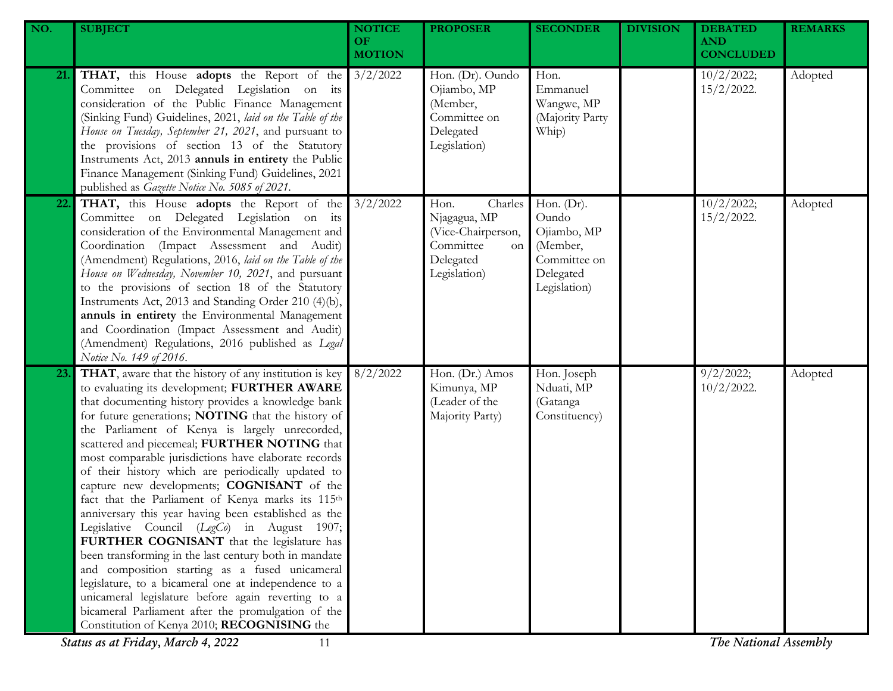| NO. | <b>SUBJECT</b>                                                                                                                                                                                                                                                                                                                                                                                                                                                                                                                                                                                                                                                                                                                                                                                                                                                                                                                                                                                                                                                       | <b>NOTICE</b><br>OF. | <b>PROPOSER</b>                                                                                       | <b>SECONDER</b>                                                                                | <b>DIVISION</b> | <b>DEBATED</b><br><b>AND</b>                        | <b>REMARKS</b> |
|-----|----------------------------------------------------------------------------------------------------------------------------------------------------------------------------------------------------------------------------------------------------------------------------------------------------------------------------------------------------------------------------------------------------------------------------------------------------------------------------------------------------------------------------------------------------------------------------------------------------------------------------------------------------------------------------------------------------------------------------------------------------------------------------------------------------------------------------------------------------------------------------------------------------------------------------------------------------------------------------------------------------------------------------------------------------------------------|----------------------|-------------------------------------------------------------------------------------------------------|------------------------------------------------------------------------------------------------|-----------------|-----------------------------------------------------|----------------|
|     |                                                                                                                                                                                                                                                                                                                                                                                                                                                                                                                                                                                                                                                                                                                                                                                                                                                                                                                                                                                                                                                                      | <b>MOTION</b>        |                                                                                                       |                                                                                                |                 | <b>CONCLUDED</b>                                    |                |
| 21. | <b>THAT,</b> this House <b>adopts</b> the Report of the 3/2/2022<br>Committee on Delegated Legislation on its<br>consideration of the Public Finance Management<br>(Sinking Fund) Guidelines, 2021, laid on the Table of the<br>House on Tuesday, September 21, 2021, and pursuant to<br>the provisions of section 13 of the Statutory<br>Instruments Act, 2013 annuls in entirety the Public<br>Finance Management (Sinking Fund) Guidelines, 2021<br>published as Gazette Notice No. 5085 of 2021.                                                                                                                                                                                                                                                                                                                                                                                                                                                                                                                                                                 |                      | Hon. (Dr). Oundo<br>Ojiambo, MP<br>(Member,<br>Committee on<br>Delegated<br>Legislation)              | Hon.<br>Emmanuel<br>Wangwe, MP<br>(Majority Party<br>Whip)                                     |                 | 10/2/2022;<br>$15/2/2022$ .                         | Adopted        |
| 22. | <b>THAT,</b> this House <b>adopts</b> the Report of the 3/2/2022<br>Committee on Delegated Legislation on its<br>consideration of the Environmental Management and<br>Coordination (Impact Assessment and Audit)<br>(Amendment) Regulations, 2016, laid on the Table of the<br>House on Wednesday, November 10, 2021, and pursuant<br>to the provisions of section 18 of the Statutory<br>Instruments Act, 2013 and Standing Order 210 (4)(b),<br>annuls in entirety the Environmental Management<br>and Coordination (Impact Assessment and Audit)<br>(Amendment) Regulations, 2016 published as Legal<br>Notice No. 149 of 2016.                                                                                                                                                                                                                                                                                                                                                                                                                                   |                      | Charles<br>Hon.<br>Njagagua, MP<br>(Vice-Chairperson,<br>Committee<br>on<br>Delegated<br>Legislation) | Hon. $(Dr)$ .<br>Oundo<br>Ojiambo, MP<br>(Member,<br>Committee on<br>Delegated<br>Legislation) |                 | 10/2/2022;<br>$15/2/2022$ .                         | Adopted        |
| 23. | THAT, aware that the history of any institution is key<br>to evaluating its development; FURTHER AWARE<br>that documenting history provides a knowledge bank<br>for future generations; NOTING that the history of<br>the Parliament of Kenya is largely unrecorded,<br>scattered and piecemeal; FURTHER NOTING that<br>most comparable jurisdictions have elaborate records<br>of their history which are periodically updated to<br>capture new developments; COGNISANT of the<br>fact that the Parliament of Kenya marks its 115th<br>anniversary this year having been established as the<br>Legislative Council (LegCo) in August 1907;<br>FURTHER COGNISANT that the legislature has<br>been transforming in the last century both in mandate<br>and composition starting as a fused unicameral<br>legislature, to a bicameral one at independence to a<br>unicameral legislature before again reverting to a<br>bicameral Parliament after the promulgation of the<br>Constitution of Kenya 2010; RECOGNISING the<br>Status as at Friday, March 4, 2022<br>11 | 8/2/2022             | Hon. (Dr.) Amos<br>Kimunya, MP<br>(Leader of the<br>Majority Party)                                   | Hon. Joseph<br>Nduati, MP<br>(Gatanga<br>Constituency)                                         |                 | 9/2/2022;<br>$10/2/2022$ .<br>The National Assembly | Adopted        |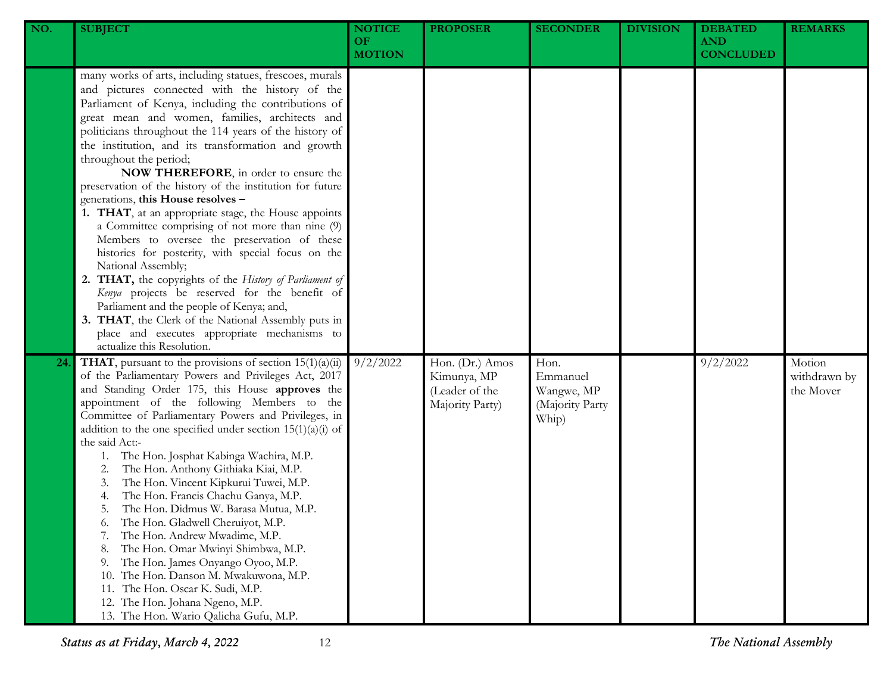| NO. | <b>SUBJECT</b>                                                                                                                                                                                                                                                                                                                                                                                                                                                                                                                                                                                                                                                                                                                                                                                                                                                                                                                                                                                                                                | <b>NOTICE</b><br>OF.<br><b>MOTION</b> | <b>PROPOSER</b>                                                     | <b>SECONDER</b>                                            | <b>DIVISION</b> | <b>DEBATED</b><br><b>AND</b><br><b>CONCLUDED</b> | <b>REMARKS</b>                      |
|-----|-----------------------------------------------------------------------------------------------------------------------------------------------------------------------------------------------------------------------------------------------------------------------------------------------------------------------------------------------------------------------------------------------------------------------------------------------------------------------------------------------------------------------------------------------------------------------------------------------------------------------------------------------------------------------------------------------------------------------------------------------------------------------------------------------------------------------------------------------------------------------------------------------------------------------------------------------------------------------------------------------------------------------------------------------|---------------------------------------|---------------------------------------------------------------------|------------------------------------------------------------|-----------------|--------------------------------------------------|-------------------------------------|
|     | many works of arts, including statues, frescoes, murals<br>and pictures connected with the history of the<br>Parliament of Kenya, including the contributions of<br>great mean and women, families, architects and<br>politicians throughout the 114 years of the history of<br>the institution, and its transformation and growth<br>throughout the period;<br>NOW THEREFORE, in order to ensure the<br>preservation of the history of the institution for future<br>generations, this House resolves -<br>1. THAT, at an appropriate stage, the House appoints<br>a Committee comprising of not more than nine (9)<br>Members to oversee the preservation of these<br>histories for posterity, with special focus on the<br>National Assembly;<br>2. THAT, the copyrights of the History of Parliament of<br>Kenya projects be reserved for the benefit of<br>Parliament and the people of Kenya; and,<br>3. THAT, the Clerk of the National Assembly puts in<br>place and executes appropriate mechanisms to<br>actualize this Resolution. |                                       |                                                                     |                                                            |                 |                                                  |                                     |
| 24  | <b>THAT</b> , pursuant to the provisions of section $15(1)(a)(ii)$<br>of the Parliamentary Powers and Privileges Act, 2017<br>and Standing Order 175, this House approves the<br>appointment of the following Members to the<br>Committee of Parliamentary Powers and Privileges, in<br>addition to the one specified under section $15(1)(a)(i)$ of<br>the said Act:-<br>The Hon. Josphat Kabinga Wachira, M.P.<br>1.<br>The Hon. Anthony Githiaka Kiai, M.P.<br>2.<br>The Hon. Vincent Kipkurui Tuwei, M.P.<br>3.<br>The Hon. Francis Chachu Ganya, M.P.<br>4.<br>The Hon. Didmus W. Barasa Mutua, M.P.<br>5.<br>The Hon. Gladwell Cheruiyot, M.P.<br>6.<br>The Hon. Andrew Mwadime, M.P.<br>7.<br>The Hon. Omar Mwinyi Shimbwa, M.P.<br>8.<br>The Hon. James Onyango Oyoo, M.P.<br>9.<br>The Hon. Danson M. Mwakuwona, M.P.<br>10.<br>The Hon. Oscar K. Sudi, M.P.<br>11.<br>12. The Hon. Johana Ngeno, M.P.<br>13. The Hon. Wario Qalicha Gufu, M.P.                                                                                      | 9/2/2022                              | Hon. (Dr.) Amos<br>Kimunya, MP<br>(Leader of the<br>Majority Party) | Hon.<br>Emmanuel<br>Wangwe, MP<br>(Majority Party<br>Whip) |                 | 9/2/2022                                         | Motion<br>withdrawn by<br>the Mover |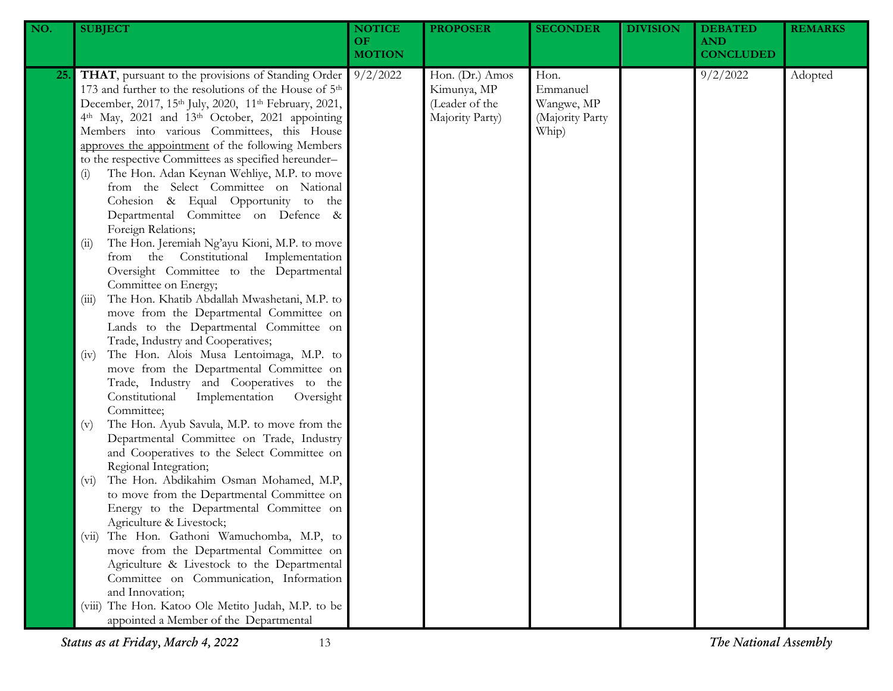| NO. | <b>SUBJECT</b>                                                                                                                                                                                                                                                                                                                                                                                                                                                                                                                                                                                                                                            | <b>NOTICE</b><br>OF<br><b>MOTION</b> | <b>PROPOSER</b>                                                     | <b>SECONDER</b>                                            | <b>DIVISION</b> | <b>DEBATED</b><br><b>AND</b><br><b>CONCLUDED</b> | <b>REMARKS</b> |
|-----|-----------------------------------------------------------------------------------------------------------------------------------------------------------------------------------------------------------------------------------------------------------------------------------------------------------------------------------------------------------------------------------------------------------------------------------------------------------------------------------------------------------------------------------------------------------------------------------------------------------------------------------------------------------|--------------------------------------|---------------------------------------------------------------------|------------------------------------------------------------|-----------------|--------------------------------------------------|----------------|
| 25. | THAT, pursuant to the provisions of Standing Order<br>173 and further to the resolutions of the House of 5 <sup>th</sup><br>December, 2017, 15th July, 2020, 11th February, 2021,<br>4th May, 2021 and 13th October, 2021 appointing<br>Members into various Committees, this House<br>approves the appointment of the following Members<br>to the respective Committees as specified hereunder-<br>The Hon. Adan Keynan Wehliye, M.P. to move<br>(i)<br>from the Select Committee on National<br>Cohesion & Equal Opportunity to the<br>Departmental Committee on Defence &<br>Foreign Relations;<br>The Hon. Jeremiah Ng'ayu Kioni, M.P. to move<br>(i) | 9/2/2022                             | Hon. (Dr.) Amos<br>Kimunya, MP<br>(Leader of the<br>Majority Party) | Hon.<br>Emmanuel<br>Wangwe, MP<br>(Majority Party<br>Whip) |                 | 9/2/2022                                         | Adopted        |
|     | from the Constitutional Implementation<br>Oversight Committee to the Departmental<br>Committee on Energy;<br>The Hon. Khatib Abdallah Mwashetani, M.P. to<br>(iii)<br>move from the Departmental Committee on<br>Lands to the Departmental Committee on<br>Trade, Industry and Cooperatives;                                                                                                                                                                                                                                                                                                                                                              |                                      |                                                                     |                                                            |                 |                                                  |                |
|     | The Hon. Alois Musa Lentoimaga, M.P. to<br>(iv)<br>move from the Departmental Committee on<br>Trade, Industry and Cooperatives to the<br>Constitutional<br>Implementation<br>Oversight<br>Committee;                                                                                                                                                                                                                                                                                                                                                                                                                                                      |                                      |                                                                     |                                                            |                 |                                                  |                |
|     | The Hon. Ayub Savula, M.P. to move from the<br>(v)<br>Departmental Committee on Trade, Industry<br>and Cooperatives to the Select Committee on<br>Regional Integration;<br>The Hon. Abdikahim Osman Mohamed, M.P,<br>$(v_i)$<br>to move from the Departmental Committee on                                                                                                                                                                                                                                                                                                                                                                                |                                      |                                                                     |                                                            |                 |                                                  |                |
|     | Energy to the Departmental Committee on<br>Agriculture & Livestock;<br>The Hon. Gathoni Wamuchomba, M.P, to<br>(V11)<br>move from the Departmental Committee on<br>Agriculture & Livestock to the Departmental                                                                                                                                                                                                                                                                                                                                                                                                                                            |                                      |                                                                     |                                                            |                 |                                                  |                |
|     | Committee on Communication, Information<br>and Innovation;<br>(viii) The Hon. Katoo Ole Metito Judah, M.P. to be<br>appointed a Member of the Departmental                                                                                                                                                                                                                                                                                                                                                                                                                                                                                                |                                      |                                                                     |                                                            |                 |                                                  |                |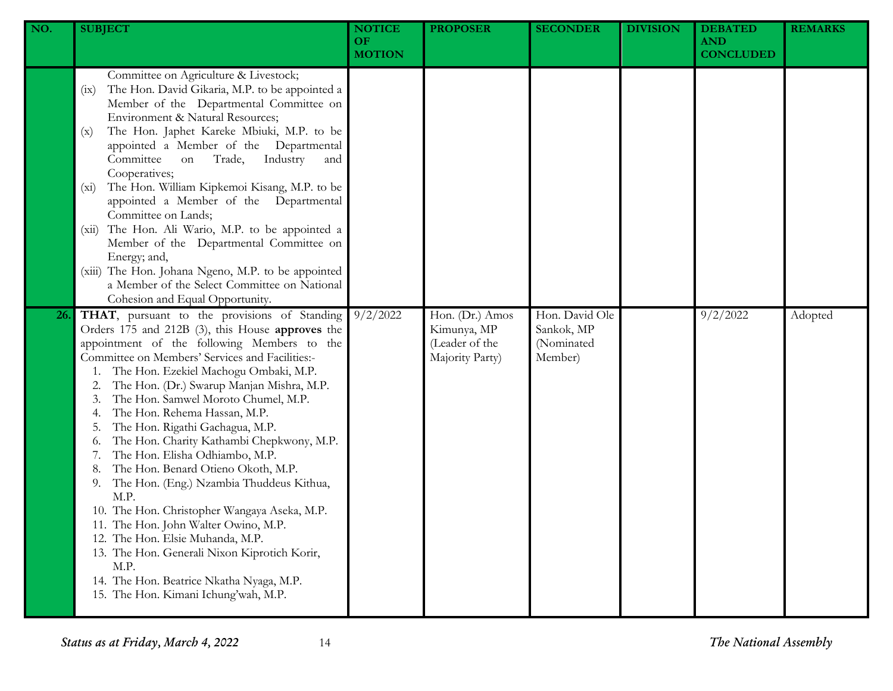| NO. | <b>SUBJECT</b>                                                                                                                                                                                                                                                                                                                                                                                                                                                                                                                                                                                                                                                                                                                                                                                                                                                  | <b>NOTICE</b><br><b>OF</b><br><b>MOTION</b> | <b>PROPOSER</b>                                                     | <b>SECONDER</b>                                       | <b>DIVISION</b> | <b>DEBATED</b><br><b>AND</b><br><b>CONCLUDED</b> | <b>REMARKS</b> |
|-----|-----------------------------------------------------------------------------------------------------------------------------------------------------------------------------------------------------------------------------------------------------------------------------------------------------------------------------------------------------------------------------------------------------------------------------------------------------------------------------------------------------------------------------------------------------------------------------------------------------------------------------------------------------------------------------------------------------------------------------------------------------------------------------------------------------------------------------------------------------------------|---------------------------------------------|---------------------------------------------------------------------|-------------------------------------------------------|-----------------|--------------------------------------------------|----------------|
|     | Committee on Agriculture & Livestock;<br>The Hon. David Gikaria, M.P. to be appointed a<br>(ix)<br>Member of the Departmental Committee on<br>Environment & Natural Resources;<br>The Hon. Japhet Kareke Mbiuki, M.P. to be<br>(x)<br>appointed a Member of the Departmental<br>Committee<br>Industry<br>Trade,<br>on<br>and<br>Cooperatives;<br>The Hon. William Kipkemoi Kisang, M.P. to be<br>$(x_i)$<br>appointed a Member of the Departmental<br>Committee on Lands;<br>The Hon. Ali Wario, M.P. to be appointed a<br>(xii)<br>Member of the Departmental Committee on<br>Energy; and,<br>(xiii) The Hon. Johana Ngeno, M.P. to be appointed<br>a Member of the Select Committee on National<br>Cohesion and Equal Opportunity.                                                                                                                            |                                             |                                                                     |                                                       |                 |                                                  |                |
| 26. | THAT, pursuant to the provisions of Standing<br>Orders 175 and 212B (3), this House approves the<br>appointment of the following Members to the<br>Committee on Members' Services and Facilities:-<br>The Hon. Ezekiel Machogu Ombaki, M.P.<br>The Hon. (Dr.) Swarup Manjan Mishra, M.P.<br>The Hon. Samwel Moroto Chumel, M.P.<br>The Hon. Rehema Hassan, M.P.<br>The Hon. Rigathi Gachagua, M.P.<br>The Hon. Charity Kathambi Chepkwony, M.P.<br>0.<br>The Hon. Elisha Odhiambo, M.P.<br>The Hon. Benard Otieno Okoth, M.P.<br>The Hon. (Eng.) Nzambia Thuddeus Kithua,<br>9.<br>M.P.<br>10. The Hon. Christopher Wangaya Aseka, M.P.<br>11. The Hon. John Walter Owino, M.P.<br>12. The Hon. Elsie Muhanda, M.P.<br>13. The Hon. Generali Nixon Kiprotich Korir,<br>M.P.<br>14. The Hon. Beatrice Nkatha Nyaga, M.P.<br>15. The Hon. Kimani Ichung'wah, M.P. | 9/2/2022                                    | Hon. (Dr.) Amos<br>Kimunya, MP<br>(Leader of the<br>Majority Party) | Hon. David Ole<br>Sankok, MP<br>(Nominated<br>Member) |                 | 9/2/2022                                         | Adopted        |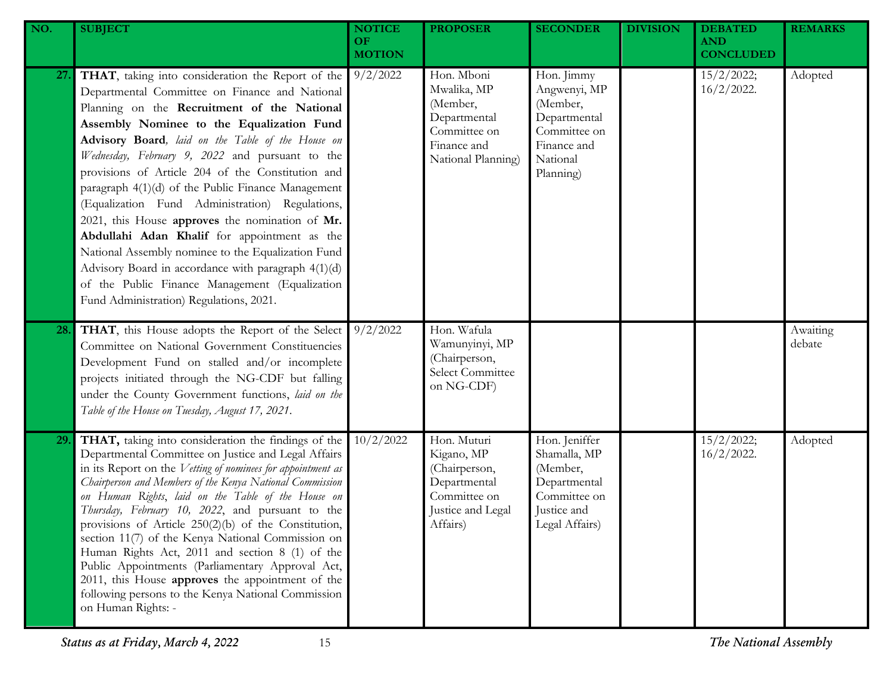| NO. | <b>SUBJECT</b>                                                                                                                                                                                                                                                                                                                                                                                                                                                                                                                                                                                                                                                                                                                                                                     | <b>NOTICE</b><br>OF.<br><b>MOTION</b> | <b>PROPOSER</b>                                                                                             | <b>SECONDER</b>                                                                                                | <b>DIVISION</b> | <b>DEBATED</b><br><b>AND</b><br><b>CONCLUDED</b> | <b>REMARKS</b>     |
|-----|------------------------------------------------------------------------------------------------------------------------------------------------------------------------------------------------------------------------------------------------------------------------------------------------------------------------------------------------------------------------------------------------------------------------------------------------------------------------------------------------------------------------------------------------------------------------------------------------------------------------------------------------------------------------------------------------------------------------------------------------------------------------------------|---------------------------------------|-------------------------------------------------------------------------------------------------------------|----------------------------------------------------------------------------------------------------------------|-----------------|--------------------------------------------------|--------------------|
| 27. | THAT, taking into consideration the Report of the<br>Departmental Committee on Finance and National<br>Planning on the Recruitment of the National<br>Assembly Nominee to the Equalization Fund<br>Advisory Board, laid on the Table of the House on<br>Wednesday, February 9, 2022 and pursuant to the<br>provisions of Article 204 of the Constitution and<br>paragraph 4(1)(d) of the Public Finance Management<br>(Equalization Fund Administration) Regulations,<br>2021, this House approves the nomination of Mr.<br>Abdullahi Adan Khalif for appointment as the<br>National Assembly nominee to the Equalization Fund<br>Advisory Board in accordance with paragraph 4(1)(d)<br>of the Public Finance Management (Equalization<br>Fund Administration) Regulations, 2021. | 9/2/2022                              | Hon. Mboni<br>Mwalika, MP<br>(Member,<br>Departmental<br>Committee on<br>Finance and<br>National Planning)  | Hon. Jimmy<br>Angwenyi, MP<br>(Member,<br>Departmental<br>Committee on<br>Finance and<br>National<br>Planning) |                 | 15/2/2022;<br>$16/2/2022$ .                      | Adopted            |
| 28. | THAT, this House adopts the Report of the Select<br>Committee on National Government Constituencies<br>Development Fund on stalled and/or incomplete<br>projects initiated through the NG-CDF but falling<br>under the County Government functions, laid on the<br>Table of the House on Tuesday, August 17, 2021.                                                                                                                                                                                                                                                                                                                                                                                                                                                                 | 9/2/2022                              | Hon. Wafula<br>Wamunyinyi, MP<br>(Chairperson,<br>Select Committee<br>on NG-CDF)                            |                                                                                                                |                 |                                                  | Awaiting<br>debate |
| 29. | THAT, taking into consideration the findings of the<br>Departmental Committee on Justice and Legal Affairs<br>in its Report on the Vetting of nominees for appointment as<br>Chairperson and Members of the Kenya National Commission<br>on Human Rights, laid on the Table of the House on<br>Thursday, February 10, 2022, and pursuant to the<br>provisions of Article 250(2)(b) of the Constitution,<br>section 11(7) of the Kenya National Commission on<br>Human Rights Act, 2011 and section 8 (1) of the<br>Public Appointments (Parliamentary Approval Act,<br>2011, this House approves the appointment of the<br>following persons to the Kenya National Commission<br>on Human Rights: -                                                                                | 10/2/2022                             | Hon. Muturi<br>Kigano, MP<br>(Chairperson,<br>Departmental<br>Committee on<br>Justice and Legal<br>Affairs) | Hon. Jeniffer<br>Shamalla, MP<br>(Member,<br>Departmental<br>Committee on<br>Justice and<br>Legal Affairs)     |                 | 15/2/2022;<br>$16/2/2022$ .                      | Adopted            |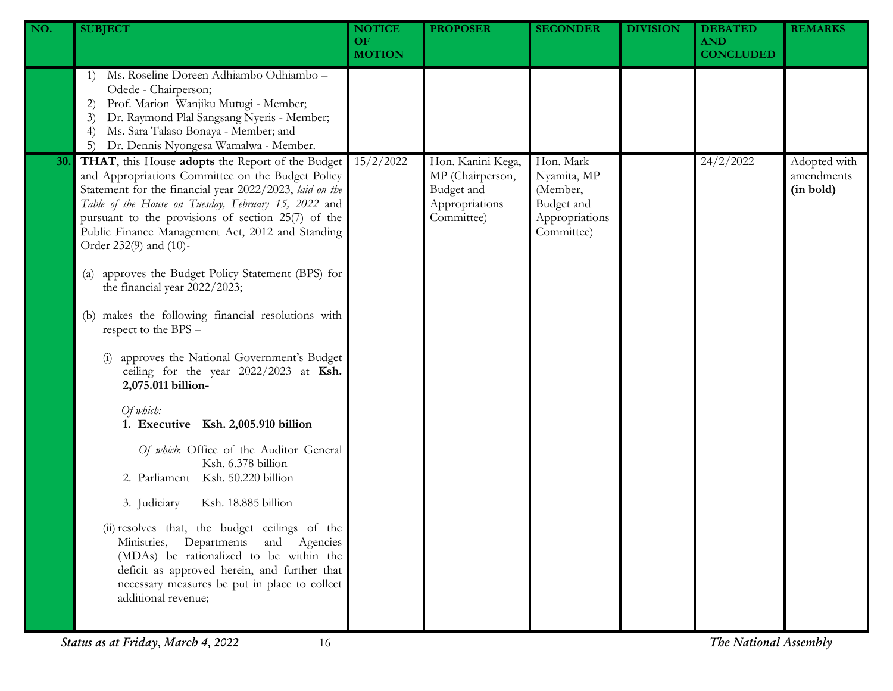| NO. | <b>SUBJECT</b>                                                                                                                                                                                                                                                                                                                                               | <b>NOTICE</b><br><b>OF</b><br><b>MOTION</b> | <b>PROPOSER</b>                                                                     | <b>SECONDER</b>                                                                    | <b>DIVISION</b> | <b>DEBATED</b><br><b>AND</b><br><b>CONCLUDED</b> | <b>REMARKS</b>                          |
|-----|--------------------------------------------------------------------------------------------------------------------------------------------------------------------------------------------------------------------------------------------------------------------------------------------------------------------------------------------------------------|---------------------------------------------|-------------------------------------------------------------------------------------|------------------------------------------------------------------------------------|-----------------|--------------------------------------------------|-----------------------------------------|
|     | Ms. Roseline Doreen Adhiambo Odhiambo -<br>1)<br>Odede - Chairperson;<br>Prof. Marion Wanjiku Mutugi - Member;<br>2)<br>Dr. Raymond Plal Sangsang Nyeris - Member;<br>3)<br>Ms. Sara Talaso Bonaya - Member; and<br>$\left(4\right)$<br>Dr. Dennis Nyongesa Wamalwa - Member.<br>5)                                                                          |                                             |                                                                                     |                                                                                    |                 |                                                  |                                         |
| 30. | THAT, this House adopts the Report of the Budget<br>and Appropriations Committee on the Budget Policy<br>Statement for the financial year 2022/2023, laid on the<br>Table of the House on Tuesday, February 15, 2022 and<br>pursuant to the provisions of section 25(7) of the<br>Public Finance Management Act, 2012 and Standing<br>Order 232(9) and (10)- | 15/2/2022                                   | Hon. Kanini Kega,<br>MP (Chairperson,<br>Budget and<br>Appropriations<br>Committee) | Hon. Mark<br>Nyamita, MP<br>(Member,<br>Budget and<br>Appropriations<br>Committee) |                 | 24/2/2022                                        | Adopted with<br>amendments<br>(in bold) |
|     | approves the Budget Policy Statement (BPS) for<br>$\left( a\right)$<br>the financial year 2022/2023;                                                                                                                                                                                                                                                         |                                             |                                                                                     |                                                                                    |                 |                                                  |                                         |
|     | makes the following financial resolutions with<br>(b)<br>respect to the BPS -                                                                                                                                                                                                                                                                                |                                             |                                                                                     |                                                                                    |                 |                                                  |                                         |
|     | approves the National Government's Budget<br>ceiling for the year 2022/2023 at Ksh.<br>2,075.011 billion-                                                                                                                                                                                                                                                    |                                             |                                                                                     |                                                                                    |                 |                                                  |                                         |
|     | Of which:<br>1. Executive Ksh. 2,005.910 billion                                                                                                                                                                                                                                                                                                             |                                             |                                                                                     |                                                                                    |                 |                                                  |                                         |
|     | Of which: Office of the Auditor General<br>Ksh. 6.378 billion<br>2. Parliament Ksh. 50.220 billion                                                                                                                                                                                                                                                           |                                             |                                                                                     |                                                                                    |                 |                                                  |                                         |
|     | 3. Judiciary<br>Ksh. 18.885 billion                                                                                                                                                                                                                                                                                                                          |                                             |                                                                                     |                                                                                    |                 |                                                  |                                         |
|     | (ii) resolves that, the budget ceilings of the<br>Ministries, Departments and Agencies<br>(MDAs) be rationalized to be within the<br>deficit as approved herein, and further that<br>necessary measures be put in place to collect<br>additional revenue;                                                                                                    |                                             |                                                                                     |                                                                                    |                 |                                                  |                                         |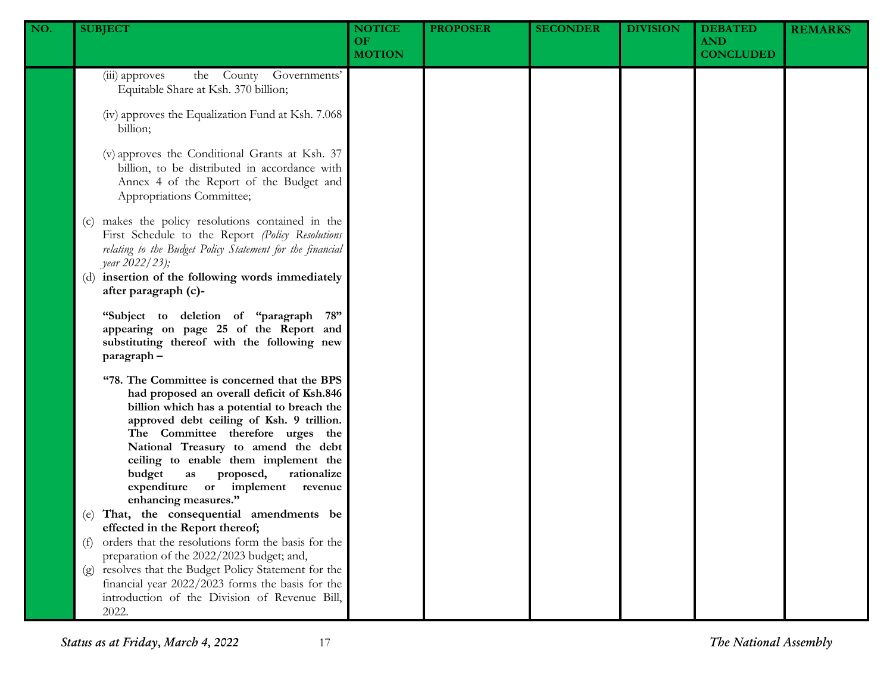| NO. | <b>SUBJECT</b>                                                                                                                                                                                                                                                                                                                                                                                                                                                                                                                                                                                                                                                                                                                                                                                    | <b>NOTICE</b><br><b>OF</b><br><b>MOTION</b> | <b>PROPOSER</b> | <b>SECONDER</b> | <b>DIVISION</b> | <b>DEBATED</b><br><b>AND</b><br><b>CONCLUDED</b> | <b>REMARKS</b> |
|-----|---------------------------------------------------------------------------------------------------------------------------------------------------------------------------------------------------------------------------------------------------------------------------------------------------------------------------------------------------------------------------------------------------------------------------------------------------------------------------------------------------------------------------------------------------------------------------------------------------------------------------------------------------------------------------------------------------------------------------------------------------------------------------------------------------|---------------------------------------------|-----------------|-----------------|-----------------|--------------------------------------------------|----------------|
|     | the County Governments'<br>(iii) approves<br>Equitable Share at Ksh. 370 billion;<br>(iv) approves the Equalization Fund at Ksh. 7.068<br>billion;<br>(v) approves the Conditional Grants at Ksh. 37<br>billion, to be distributed in accordance with<br>Annex 4 of the Report of the Budget and<br>Appropriations Committee;<br>(c) makes the policy resolutions contained in the<br>First Schedule to the Report (Policy Resolutions<br>relating to the Budget Policy Statement for the financial<br>year 2022/23);<br>(d) insertion of the following words immediately<br>after paragraph (c)-<br>"Subject to deletion of "paragraph 78"<br>appearing on page 25 of the Report and<br>substituting thereof with the following new                                                              |                                             |                 |                 |                 |                                                  |                |
|     | paragraph-<br>"78. The Committee is concerned that the BPS<br>had proposed an overall deficit of Ksh.846<br>billion which has a potential to breach the<br>approved debt ceiling of Ksh. 9 trillion.<br>The Committee therefore urges the<br>National Treasury to amend the debt<br>ceiling to enable them implement the<br>budget<br>rationalize<br>as<br>proposed,<br>expenditure or implement revenue<br>enhancing measures."<br>(e) That, the consequential amendments be<br>effected in the Report thereof;<br>orders that the resolutions form the basis for the<br>(f)<br>preparation of the 2022/2023 budget; and,<br>(g) resolves that the Budget Policy Statement for the<br>financial year 2022/2023 forms the basis for the<br>introduction of the Division of Revenue Bill,<br>2022. |                                             |                 |                 |                 |                                                  |                |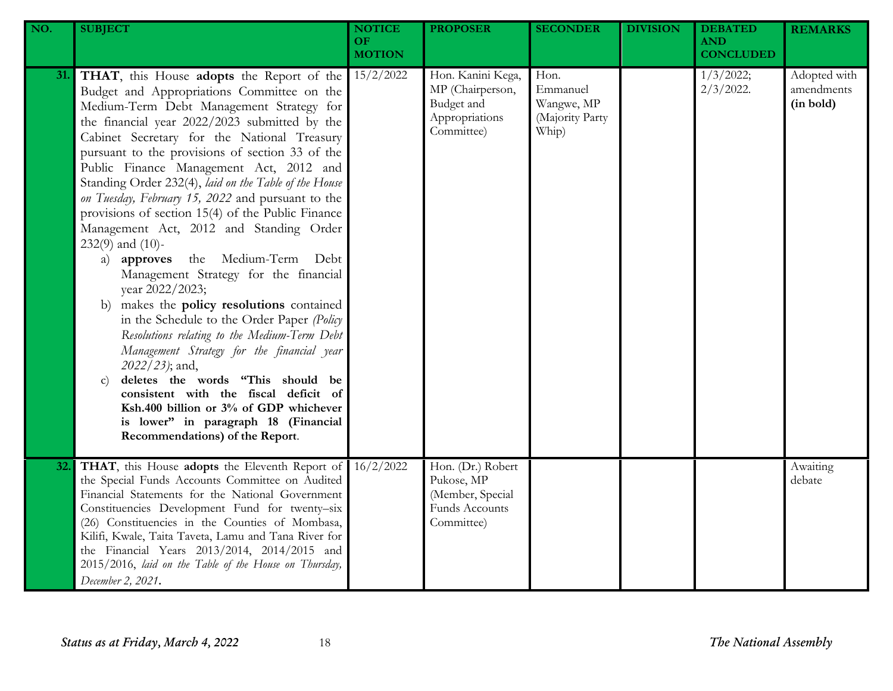| NO. | <b>SUBJECT</b>                                                                                                                                                                                                                                                                                                                                                                                                                                                                                                                                                                                                                                                                                                                                                                                                                                                                                                                                                                                                                                                                                               | <b>NOTICE</b><br><b>OF</b><br><b>MOTION</b> | <b>PROPOSER</b>                                                                     | <b>SECONDER</b>                                            | <b>DIVISION</b> | <b>DEBATED</b><br><b>AND</b><br><b>CONCLUDED</b> | <b>REMARKS</b>                          |
|-----|--------------------------------------------------------------------------------------------------------------------------------------------------------------------------------------------------------------------------------------------------------------------------------------------------------------------------------------------------------------------------------------------------------------------------------------------------------------------------------------------------------------------------------------------------------------------------------------------------------------------------------------------------------------------------------------------------------------------------------------------------------------------------------------------------------------------------------------------------------------------------------------------------------------------------------------------------------------------------------------------------------------------------------------------------------------------------------------------------------------|---------------------------------------------|-------------------------------------------------------------------------------------|------------------------------------------------------------|-----------------|--------------------------------------------------|-----------------------------------------|
| 31. | THAT, this House adopts the Report of the<br>Budget and Appropriations Committee on the<br>Medium-Term Debt Management Strategy for<br>the financial year 2022/2023 submitted by the<br>Cabinet Secretary for the National Treasury<br>pursuant to the provisions of section 33 of the<br>Public Finance Management Act, 2012 and<br>Standing Order 232(4), laid on the Table of the House<br>on Tuesday, February 15, 2022 and pursuant to the<br>provisions of section 15(4) of the Public Finance<br>Management Act, 2012 and Standing Order<br>$232(9)$ and $(10)$ -<br>the Medium-Term Debt<br>a) approves<br>Management Strategy for the financial<br>year 2022/2023;<br>makes the policy resolutions contained<br>b)<br>in the Schedule to the Order Paper (Policy<br>Resolutions relating to the Medium-Term Debt<br>Management Strategy for the financial year<br>2022/23); and,<br>deletes the words "This should be<br>$\mathbf{C}$<br>consistent with the fiscal deficit of<br>Ksh.400 billion or 3% of GDP whichever<br>is lower" in paragraph 18 (Financial<br>Recommendations) of the Report. | 15/2/2022                                   | Hon. Kanini Kega,<br>MP (Chairperson,<br>Budget and<br>Appropriations<br>Committee) | Hon.<br>Emmanuel<br>Wangwe, MP<br>(Majority Party<br>Whip) |                 | 1/3/2022;<br>$2/3/2022$ .                        | Adopted with<br>amendments<br>(in bold) |
| 32. | THAT, this House adopts the Eleventh Report of<br>the Special Funds Accounts Committee on Audited<br>Financial Statements for the National Government<br>Constituencies Development Fund for twenty-six<br>(26) Constituencies in the Counties of Mombasa,<br>Kilifi, Kwale, Taita Taveta, Lamu and Tana River for<br>the Financial Years 2013/2014, 2014/2015 and<br>2015/2016, laid on the Table of the House on Thursday,<br>December 2, 2021.                                                                                                                                                                                                                                                                                                                                                                                                                                                                                                                                                                                                                                                            | 16/2/2022                                   | Hon. (Dr.) Robert<br>Pukose, MP<br>(Member, Special<br>Funds Accounts<br>Committee) |                                                            |                 |                                                  | Awaiting<br>debate                      |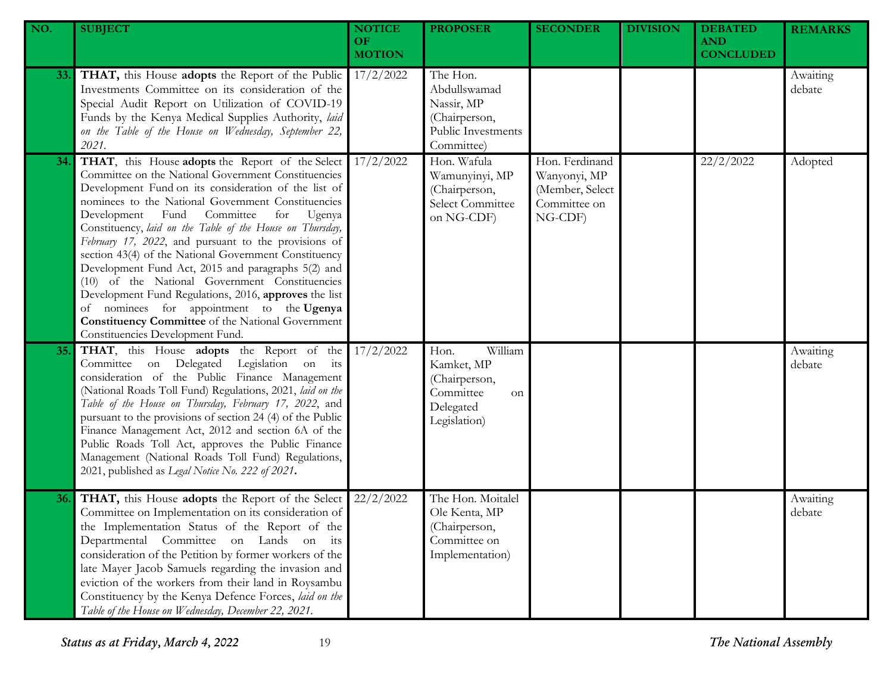| NO. | <b>SUBJECT</b>                                                                                                                                                                                                                                                                                                                                                                                                                                                                                                                                                                                                                                                                                                                                                      | <b>NOTICE</b><br>OF.<br><b>MOTION</b> | <b>PROPOSER</b>                                                                                | <b>SECONDER</b>                                                              | <b>DIVISION</b> | <b>DEBATED</b><br><b>AND</b><br><b>CONCLUDED</b> | <b>REMARKS</b>     |
|-----|---------------------------------------------------------------------------------------------------------------------------------------------------------------------------------------------------------------------------------------------------------------------------------------------------------------------------------------------------------------------------------------------------------------------------------------------------------------------------------------------------------------------------------------------------------------------------------------------------------------------------------------------------------------------------------------------------------------------------------------------------------------------|---------------------------------------|------------------------------------------------------------------------------------------------|------------------------------------------------------------------------------|-----------------|--------------------------------------------------|--------------------|
| 33. | THAT, this House adopts the Report of the Public<br>Investments Committee on its consideration of the<br>Special Audit Report on Utilization of COVID-19<br>Funds by the Kenya Medical Supplies Authority, laid<br>on the Table of the House on Wednesday, September 22,<br>2021.                                                                                                                                                                                                                                                                                                                                                                                                                                                                                   | 17/2/2022                             | The Hon.<br>Abdullswamad<br>Nassir, MP<br>(Chairperson,<br>Public Investments<br>Committee)    |                                                                              |                 |                                                  | Awaiting<br>debate |
| 34. | THAT, this House adopts the Report of the Select<br>Committee on the National Government Constituencies<br>Development Fund on its consideration of the list of<br>nominees to the National Government Constituencies<br>Committee<br>Development Fund<br>for<br>Ugenya<br>Constituency, laid on the Table of the House on Thursday,<br>February 17, 2022, and pursuant to the provisions of<br>section 43(4) of the National Government Constituency<br>Development Fund Act, 2015 and paragraphs 5(2) and<br>(10) of the National Government Constituencies<br>Development Fund Regulations, 2016, approves the list<br>of nominees for appointment to the Ugenya<br><b>Constituency Committee</b> of the National Government<br>Constituencies Development Fund. | 17/2/2022                             | Hon. Wafula<br>Wamunyinyi, MP<br>(Chairperson,<br>Select Committee<br>on NG-CDF)               | Hon. Ferdinand<br>Wanyonyi, MP<br>(Member, Select<br>Committee on<br>NG-CDF) |                 | 22/2/2022                                        | Adopted            |
| 35. | THAT, this House adopts the Report of the<br>Committee on Delegated Legislation on its<br>consideration of the Public Finance Management<br>(National Roads Toll Fund) Regulations, 2021, laid on the<br>Table of the House on Thursday, February 17, 2022, and<br>pursuant to the provisions of section 24 (4) of the Public<br>Finance Management Act, 2012 and section 6A of the<br>Public Roads Toll Act, approves the Public Finance<br>Management (National Roads Toll Fund) Regulations,<br>2021, published as Legal Notice No. 222 of 2021.                                                                                                                                                                                                                 | 17/2/2022                             | William<br>Hon.<br>Kamket, MP<br>(Chairperson,<br>Committee<br>on<br>Delegated<br>Legislation) |                                                                              |                 |                                                  | Awaiting<br>debate |
| 36. | THAT, this House adopts the Report of the Select<br>Committee on Implementation on its consideration of<br>the Implementation Status of the Report of the<br>Departmental Committee on Lands on its<br>consideration of the Petition by former workers of the<br>late Mayer Jacob Samuels regarding the invasion and<br>eviction of the workers from their land in Roysambu<br>Constituency by the Kenya Defence Forces, laid on the<br>Table of the House on Wednesday, December 22, 2021.                                                                                                                                                                                                                                                                         | 22/2/2022                             | The Hon. Moitalel<br>Ole Kenta, MP<br>(Chairperson,<br>Committee on<br>Implementation)         |                                                                              |                 |                                                  | Awaiting<br>debate |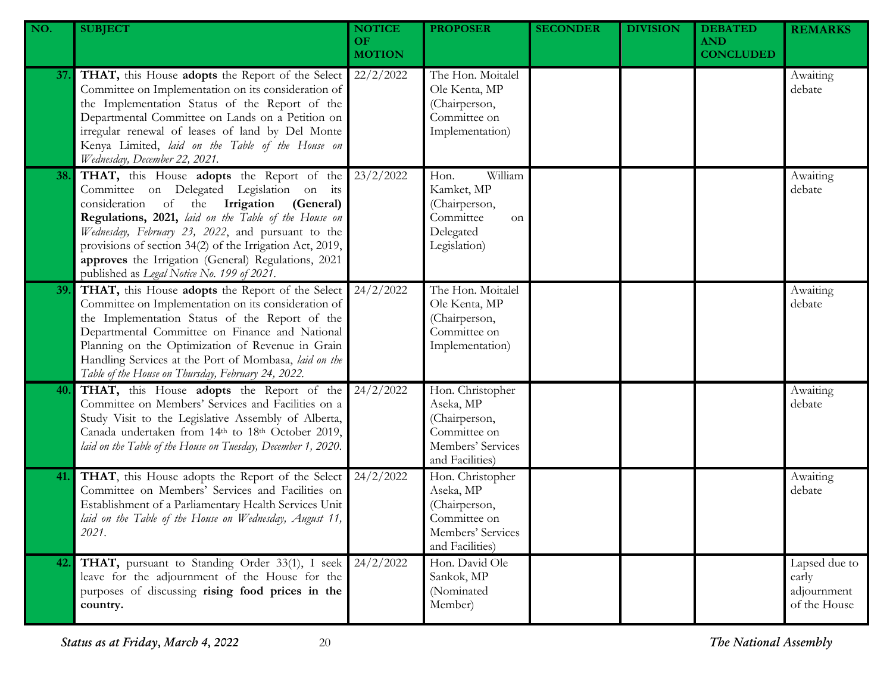| NO. | <b>SUBJECT</b>                                                                                                                                                                                                                                                                                                                                                                                                    | <b>NOTICE</b><br>OF.<br><b>MOTION</b> | <b>PROPOSER</b>                                                                                        | <b>SECONDER</b> | <b>DIVISION</b> | <b>DEBATED</b><br><b>AND</b><br><b>CONCLUDED</b> | <b>REMARKS</b>                                        |
|-----|-------------------------------------------------------------------------------------------------------------------------------------------------------------------------------------------------------------------------------------------------------------------------------------------------------------------------------------------------------------------------------------------------------------------|---------------------------------------|--------------------------------------------------------------------------------------------------------|-----------------|-----------------|--------------------------------------------------|-------------------------------------------------------|
| 37. | THAT, this House adopts the Report of the Select<br>Committee on Implementation on its consideration of<br>the Implementation Status of the Report of the<br>Departmental Committee on Lands on a Petition on<br>irregular renewal of leases of land by Del Monte<br>Kenya Limited, laid on the Table of the House on<br>Wednesday, December 22, 2021.                                                            | 22/2/2022                             | The Hon. Moitalel<br>Ole Kenta, MP<br>(Chairperson,<br>Committee on<br>Implementation)                 |                 |                 |                                                  | Awaiting<br>debate                                    |
| 38. | THAT, this House adopts the Report of the<br>Committee on Delegated Legislation on its<br>consideration of the Irrigation (General)<br>Regulations, 2021, laid on the Table of the House on<br>Wednesday, February 23, 2022, and pursuant to the<br>provisions of section 34(2) of the Irrigation Act, 2019,<br>approves the Irrigation (General) Regulations, 2021<br>published as Legal Notice No. 199 of 2021. | 23/2/2022                             | William<br>Hon.<br>Kamket, MP<br>(Chairperson,<br>Committee<br>on<br>Delegated<br>Legislation)         |                 |                 |                                                  | Awaiting<br>debate                                    |
| 39. | THAT, this House adopts the Report of the Select<br>Committee on Implementation on its consideration of<br>the Implementation Status of the Report of the<br>Departmental Committee on Finance and National<br>Planning on the Optimization of Revenue in Grain<br>Handling Services at the Port of Mombasa, laid on the<br>Table of the House on Thursday, February 24, 2022.                                    | 24/2/2022                             | The Hon. Moitalel<br>Ole Kenta, MP<br>(Chairperson,<br>Committee on<br>Implementation)                 |                 |                 |                                                  | Awaiting<br>debate                                    |
| 40. | THAT, this House adopts the Report of the<br>Committee on Members' Services and Facilities on a<br>Study Visit to the Legislative Assembly of Alberta,<br>Canada undertaken from 14th to 18th October 2019,<br>laid on the Table of the House on Tuesday, December 1, 2020.                                                                                                                                       | 24/2/2022                             | Hon. Christopher<br>Aseka, MP<br>(Chairperson,<br>Committee on<br>Members' Services<br>and Facilities) |                 |                 |                                                  | Awaiting<br>debate                                    |
| 41. | THAT, this House adopts the Report of the Select<br>Committee on Members' Services and Facilities on<br>Establishment of a Parliamentary Health Services Unit<br>laid on the Table of the House on Wednesday, August 11,<br>2021.                                                                                                                                                                                 | 24/2/2022                             | Hon. Christopher<br>Aseka, MP<br>(Chairperson,<br>Committee on<br>Members' Services<br>and Facilities) |                 |                 |                                                  | Awaiting<br>debate                                    |
| 42. | THAT, pursuant to Standing Order 33(1), I seek<br>leave for the adjournment of the House for the<br>purposes of discussing rising food prices in the<br>country.                                                                                                                                                                                                                                                  | 24/2/2022                             | Hon. David Ole<br>Sankok, MP<br>(Nominated<br>Member)                                                  |                 |                 |                                                  | Lapsed due to<br>early<br>adjournment<br>of the House |